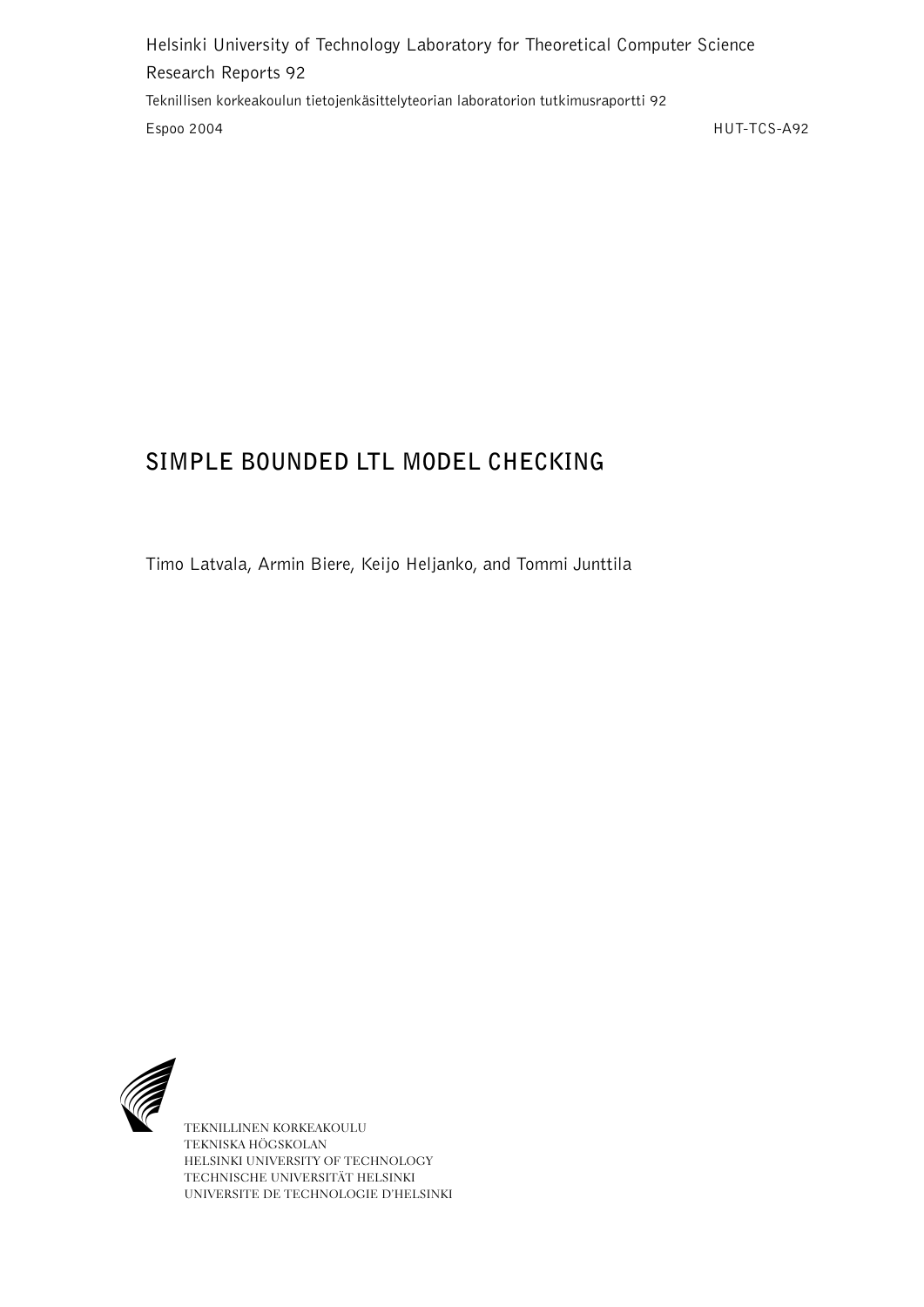Helsinki University of Technology Laboratory for Theoretical Computer Science Research Reports 92 Teknillisen korkeakoulun tietojenkäsittelyteorian laboratorion tutkimusraportti 92 Espoo 2004 HUT-TCS-A92

# **SIMPLE BOUNDED LTL MODEL CHECKING**

Timo Latvala, Armin Biere, Keijo Heljanko, and Tommi Junttila



TEKNILLINEN KORKEAKOULU TEKNISKA HÖGSKOLAN HELSINKI UNIVERSITY OF TECHNOLOGY TECHNISCHE UNIVERSITÄT HELSINKI UNIVERSITE DE TECHNOLOGIE D'HELSINKI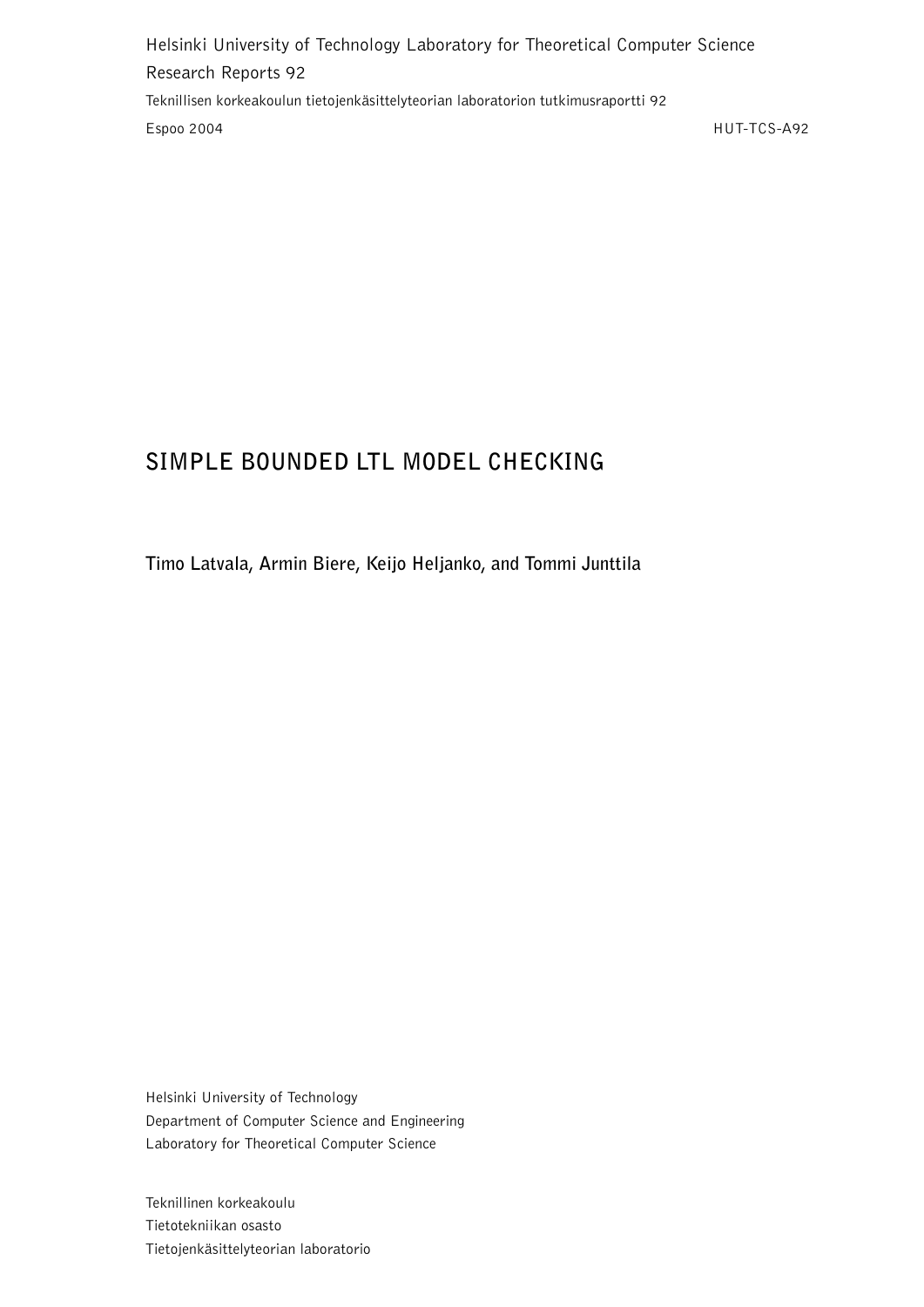Helsinki University of Technology Laboratory for Theoretical Computer Science Research Reports 92 Teknillisen korkeakoulun tietojenkäsittelyteorian laboratorion tutkimusraportti 92 Espoo 2004 HUT-TCS-A92

## **SIMPLE BOUNDED LTL MODEL CHECKING**

**Timo Latvala, Armin Biere, Keijo Heljanko, and Tommi Junttila**

Helsinki University of Technology Department of Computer Science and Engineering Laboratory for Theoretical Computer Science

Teknillinen korkeakoulu Tietotekniikan osasto Tietojenkäsittelyteorian laboratorio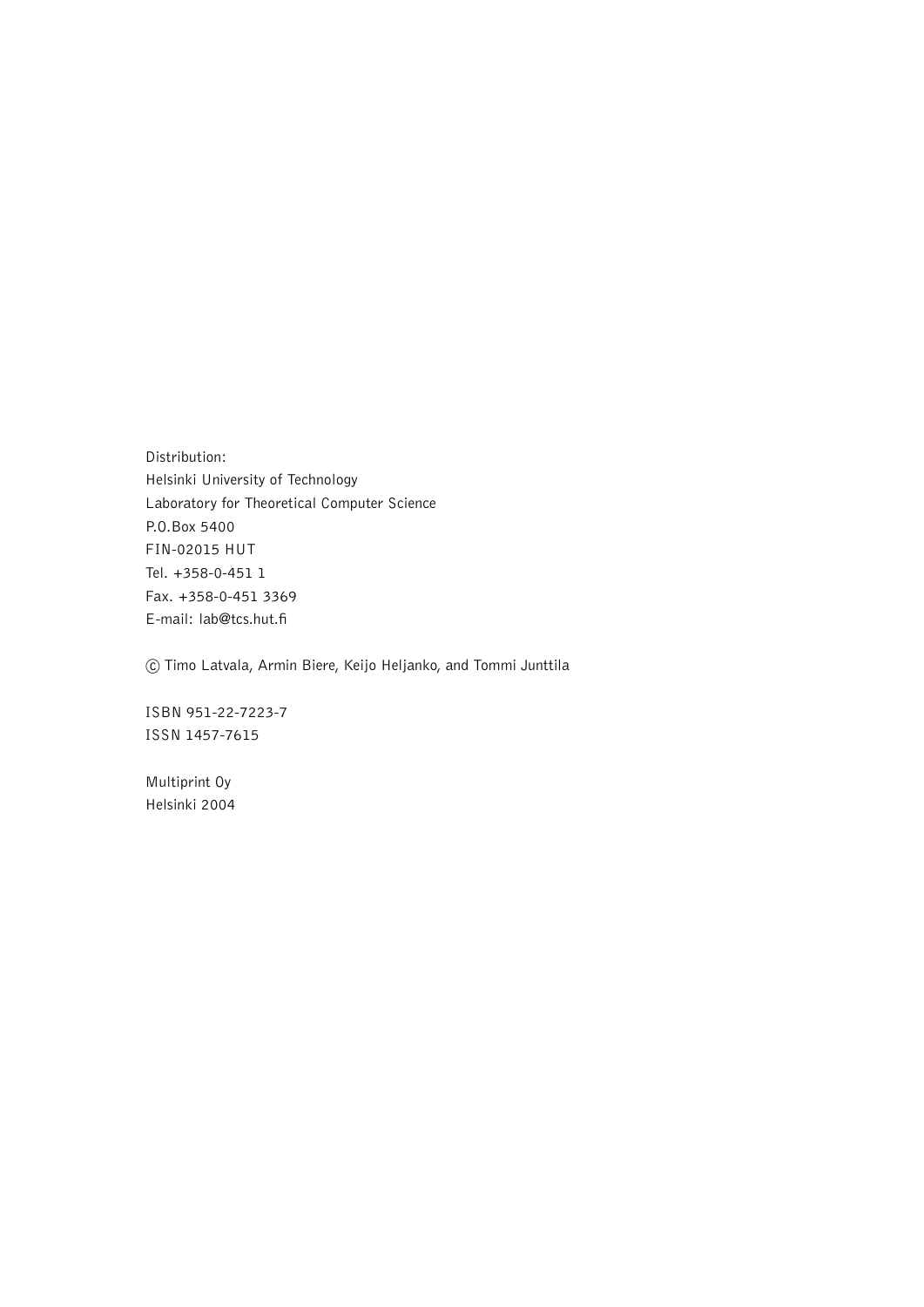Distribution: Helsinki University of Technology Laboratory for Theoretical Computer Science P.O.Box 5400 FIN-02015 HUT Tel. +358-0-451 1 Fax. +358-0-451 3369 E-mail: lab@tcs.hut.fi

c Timo Latvala, Armin Biere, Keijo Heljanko, and Tommi Junttila

ISBN 951-22-7223-7 ISSN 1457-7615

Multiprint Oy Helsinki 2004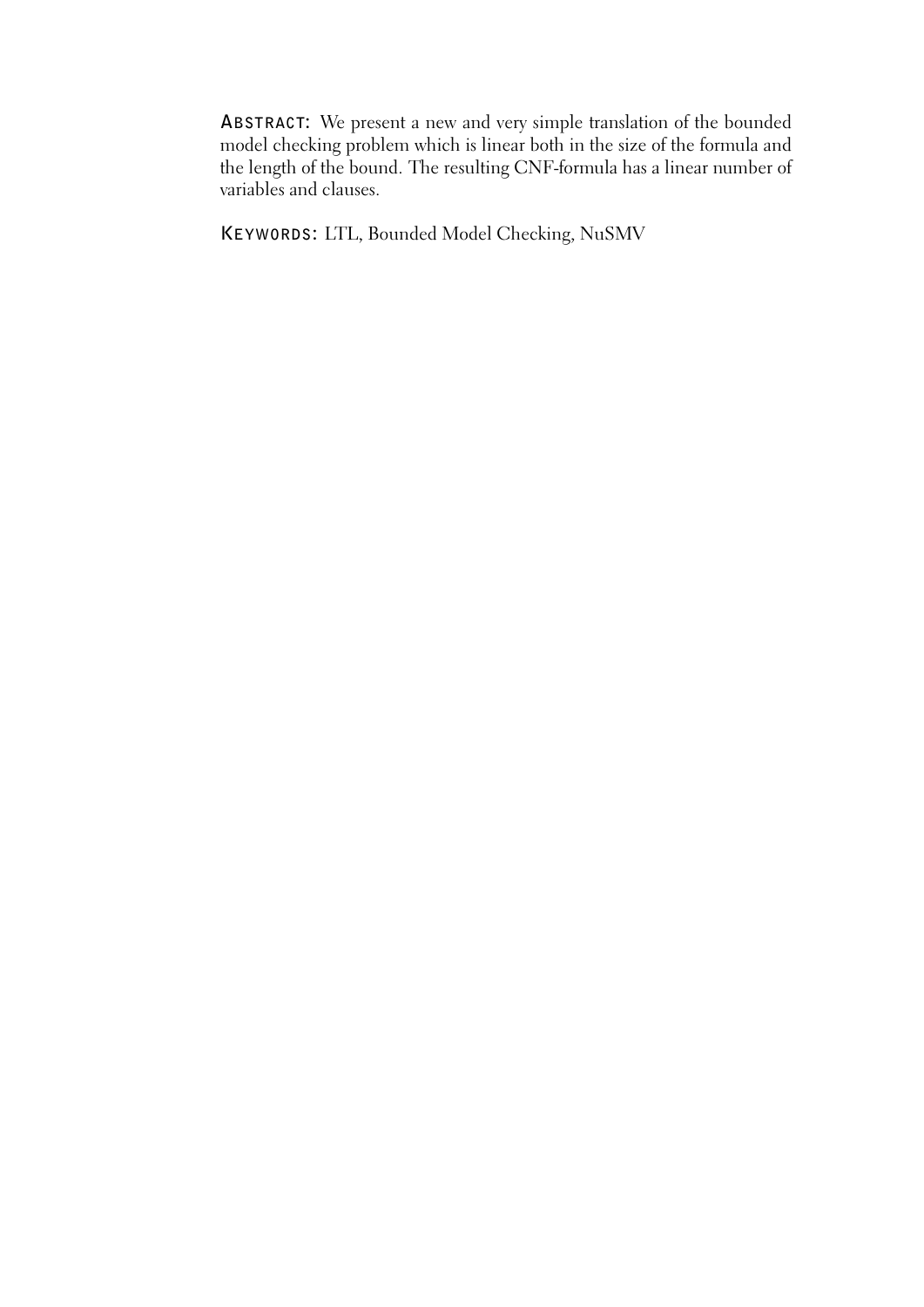**ABSTRACT:** We present a new and very simple translation of the bounded model checking problem which is linear both in the size of the formula and the length of the bound. The resulting CNF-formula has a linear number of variables and clauses.

**KEYWORDS:** LTL, Bounded Model Checking, NuSMV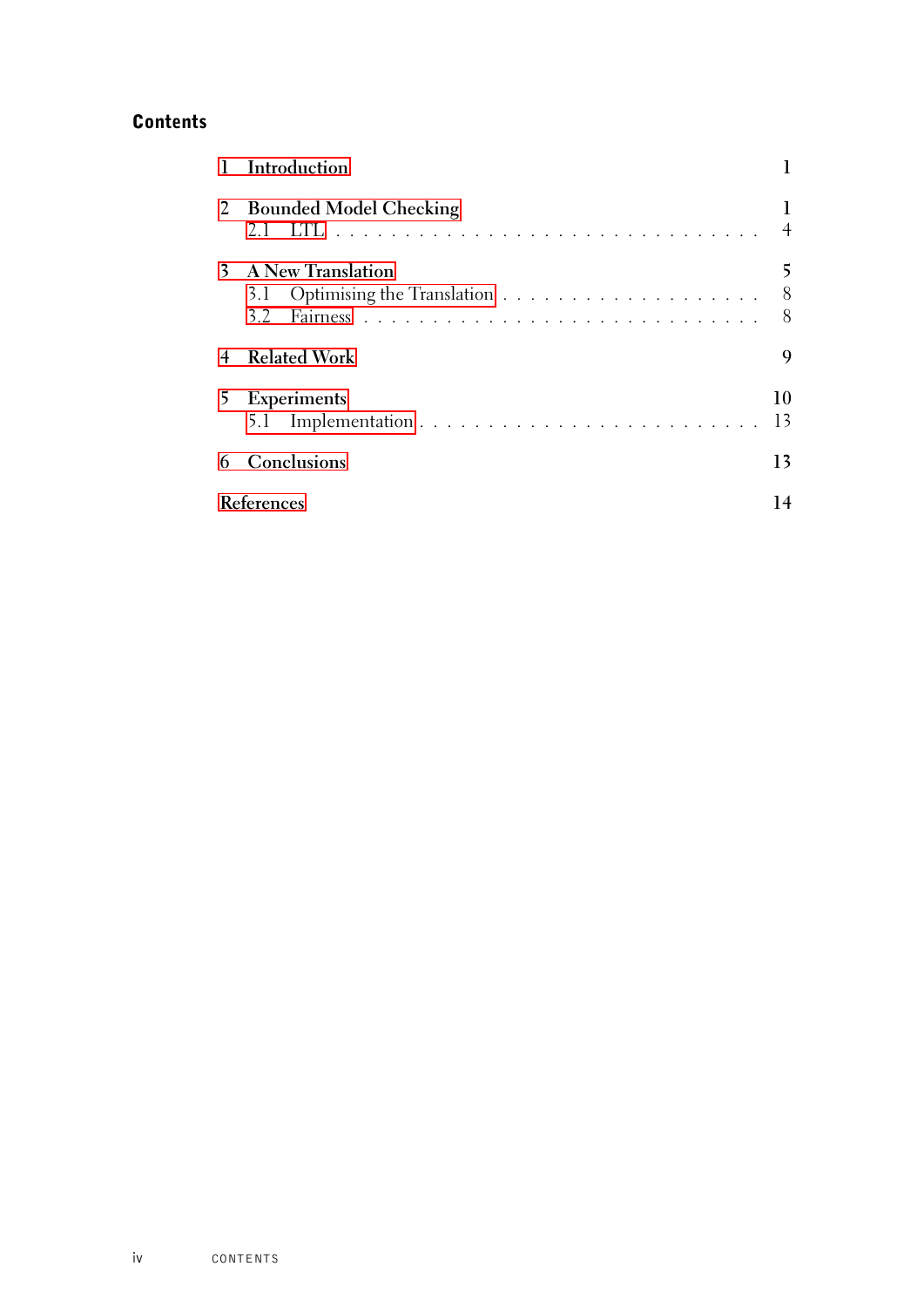## **Contents**

|              | Introduction                              |          |
|--------------|-------------------------------------------|----------|
| $\mathbf{Z}$ | <b>Bounded Model Checking</b><br>2.1      |          |
| 3.           | <b>A New Translation</b><br>$3.2^{\circ}$ | 8<br>8   |
|              | <b>Related Work</b>                       | 9        |
| 5.           | <b>Experiments</b>                        | 10<br>13 |
|              | Conclusions                               | 13       |
|              | <b>References</b>                         |          |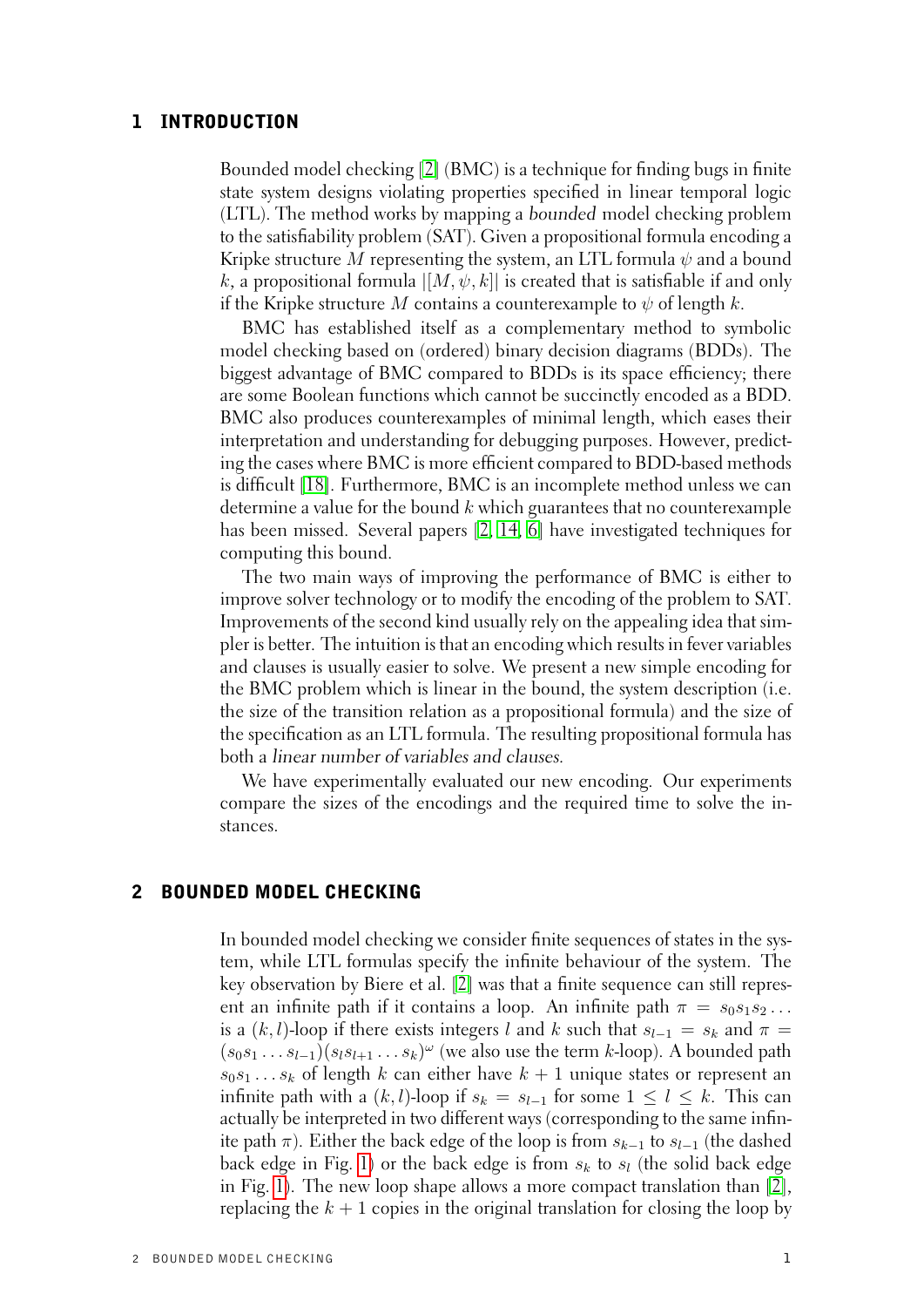## 1 INTRODUCTION

<span id="page-6-0"></span>Bounded model checking [\[2\]](#page-19-1) (BMC) is a technique for finding bugs in finite state system designs violating properties specified in linear temporal logic (LTL). The method works by mapping a bounded model checking problem to the satisfiability problem (SAT). Given a propositional formula encoding a Kripke structure M representing the system, an LTL formula  $\psi$  and a bound k, a propositional formula  $[[M, \psi, k]]$  is created that is satisfiable if and only if the Kripke structure M contains a counterexample to  $\psi$  of length k.

BMC has established itself as a complementary method to symbolic model checking based on (ordered) binary decision diagrams (BDDs). The biggest advantage of BMC compared to BDDs is its space efficiency; there are some Boolean functions which cannot be succinctly encoded as a BDD. BMC also produces counterexamples of minimal length, which eases their interpretation and understanding for debugging purposes. However, predicting the cases where BMC is more efficient compared to BDD-based methods is difficult [\[18\]](#page-20-0). Furthermore, BMC is an incomplete method unless we can determine a value for the bound  $k$  which guarantees that no counterexample has been missed. Several papers [\[2,](#page-19-1) [14,](#page-20-1) [6\]](#page-19-2) have investigated techniques for computing this bound.

The two main ways of improving the performance of BMC is either to improve solver technology or to modify the encoding of the problem to SAT. Improvements of the second kind usually rely on the appealing idea that simpler is better. The intuition is that an encoding which results in fever variables and clauses is usually easier to solve. We present a new simple encoding for the BMC problem which is linear in the bound, the system description (i.e. the size of the transition relation as a propositional formula) and the size of the specification as an LTL formula. The resulting propositional formula has both a linear number of variables and clauses.

We have experimentally evaluated our new encoding. Our experiments compare the sizes of the encodings and the required time to solve the instances.

## 2 BOUNDED MODEL CHECKING

<span id="page-6-1"></span>In bounded model checking we consider finite sequences of states in the system, while LTL formulas specify the infinite behaviour of the system. The key observation by Biere et al. [\[2\]](#page-19-1) was that a finite sequence can still represent an infinite path if it contains a loop. An infinite path  $\pi = s_0 s_1 s_2 \dots$ is a  $(k, l)$ -loop if there exists integers l and k such that  $s_{l-1} = s_k$  and  $\pi =$  $(s_0s_1 \ldots s_{l-1})(s_ls_{l+1} \ldots s_k)^\omega$  (we also use the term k-loop). A bounded path  $s_0s_1 \ldots s_k$  of length k can either have  $k + 1$  unique states or represent an infinite path with a  $(k, l)$ -loop if  $s_k = s_{l-1}$  for some  $1 \leq l \leq k$ . This can actually be interpreted in two different ways (corresponding to the same infinite path  $\pi$ ). Either the back edge of the loop is from  $s_{k-1}$  to  $s_{l-1}$  (the dashed back edge in Fig. [1\)](#page-7-0) or the back edge is from  $s_k$  to  $s_l$  (the solid back edge in Fig. [1\)](#page-7-0). The new loop shape allows a more compact translation than [\[2\]](#page-19-1), replacing the  $k + 1$  copies in the original translation for closing the loop by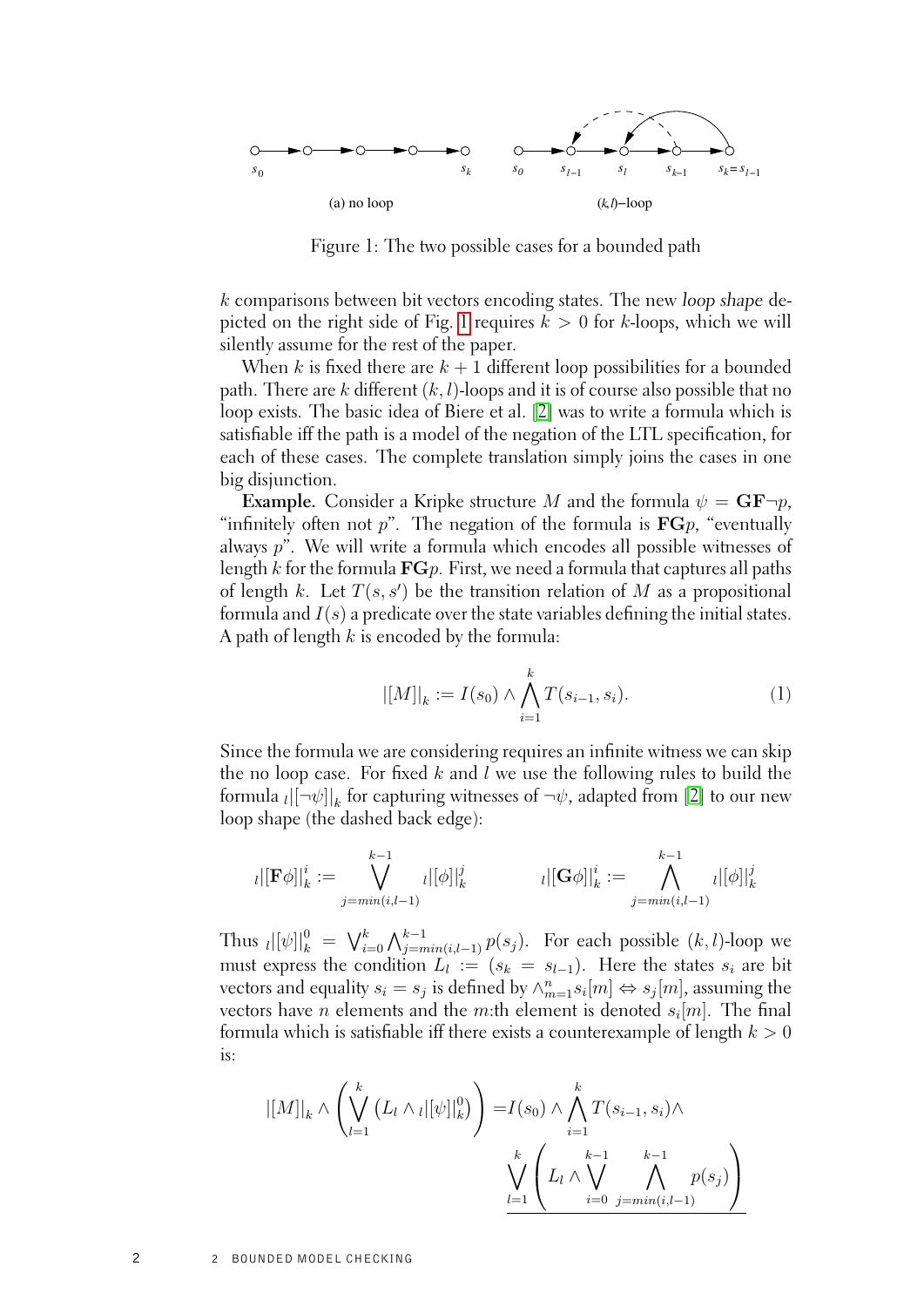

<span id="page-7-0"></span>Figure 1: The two possible cases for a bounded path

k comparisons between bit vectors encoding states. The new loop shape de-picted on the right side of Fig. [1](#page-7-0) requires  $k > 0$  for k-loops, which we will silently assume for the rest of the paper.

When k is fixed there are  $k + 1$  different loop possibilities for a bounded path. There are k different  $(k, l)$ -loops and it is of course also possible that no loop exists. The basic idea of Biere et al. [\[2\]](#page-19-1) was to write a formula which is satisfiable iff the path is a model of the negation of the LTL specification, for each of these cases. The complete translation simply joins the cases in one big disjunction.

**Example.** Consider a Kripke structure M and the formula  $\psi = \mathbf{GF} \neg p$ , "infinitely often not p". The negation of the formula is  $\mathbf{FG}p$ , "eventually" always p". We will write a formula which encodes all possible witnesses of length k for the formula  $\mathbf{F}G_p$ . First, we need a formula that captures all paths of length k. Let  $T(s, s')$  be the transition relation of M as a propositional formula and  $I(s)$  a predicate over the state variables defining the initial states. A path of length  $k$  is encoded by the formula:

<span id="page-7-1"></span>
$$
|[M]|_{k} := I(s_0) \wedge \bigwedge_{i=1}^{k} T(s_{i-1}, s_i).
$$
 (1)

Since the formula we are considering requires an infinite witness we can skip the no loop case. For fixed  $k$  and  $l$  we use the following rules to build the formula  $_{l}[[\neg\psi]]_{k}$  for capturing witnesses of  $\neg\psi,$  adapted from [\[2\]](#page-19-1) to our new loop shape (the dashed back edge):

$$
_{l} |[\mathbf{F}\phi]|_{k}^{i}:=\bigvee_{j=min(i,l-1)}^{k-1}{}_{l}|[\phi]|_{k}^{j} \qquad \qquad {}_{l}|[\mathbf{G}\phi]|_{k}^{i}:=\bigwedge_{j=min(i,l-1)}^{k-1}{}_{l}|[\phi]|_{k}^{j}
$$

Thus  $\|[\psi]\|_{k}^{0} = \bigvee_{i=0}^{k} \bigwedge_{j=min(i,l-1)}^{k-1} p(s_j)$ . For each possible  $(k, l)$ -loop we must express the condition  $L_l := (s_k = s_{l-1})$ . Here the states  $s_i$  are bit vectors and equality  $s_i = s_j$  is defined by  $\wedge_{m=1}^n s_i[m] \Leftrightarrow s_j[m]$ , assuming the vectors have n elements and the m:th element is denoted  $s_i[m]$ . The final formula which is satisfiable iff there exists a counterexample of length  $k > 0$ is:

$$
|[M]|_{k} \wedge \left(\bigvee_{l=1}^{k} (L_{l} \wedge \iota |[\psi]|_{k}^{0})\right) = I(s_{0}) \wedge \bigwedge_{i=1}^{k} T(s_{i-1}, s_{i}) \wedge \bigvee_{i=1}^{k} \left(L_{l} \wedge \bigvee_{i=0}^{k-1} \bigwedge_{j=\min(i,l-1)}^{k-1} p(s_{j})\right)
$$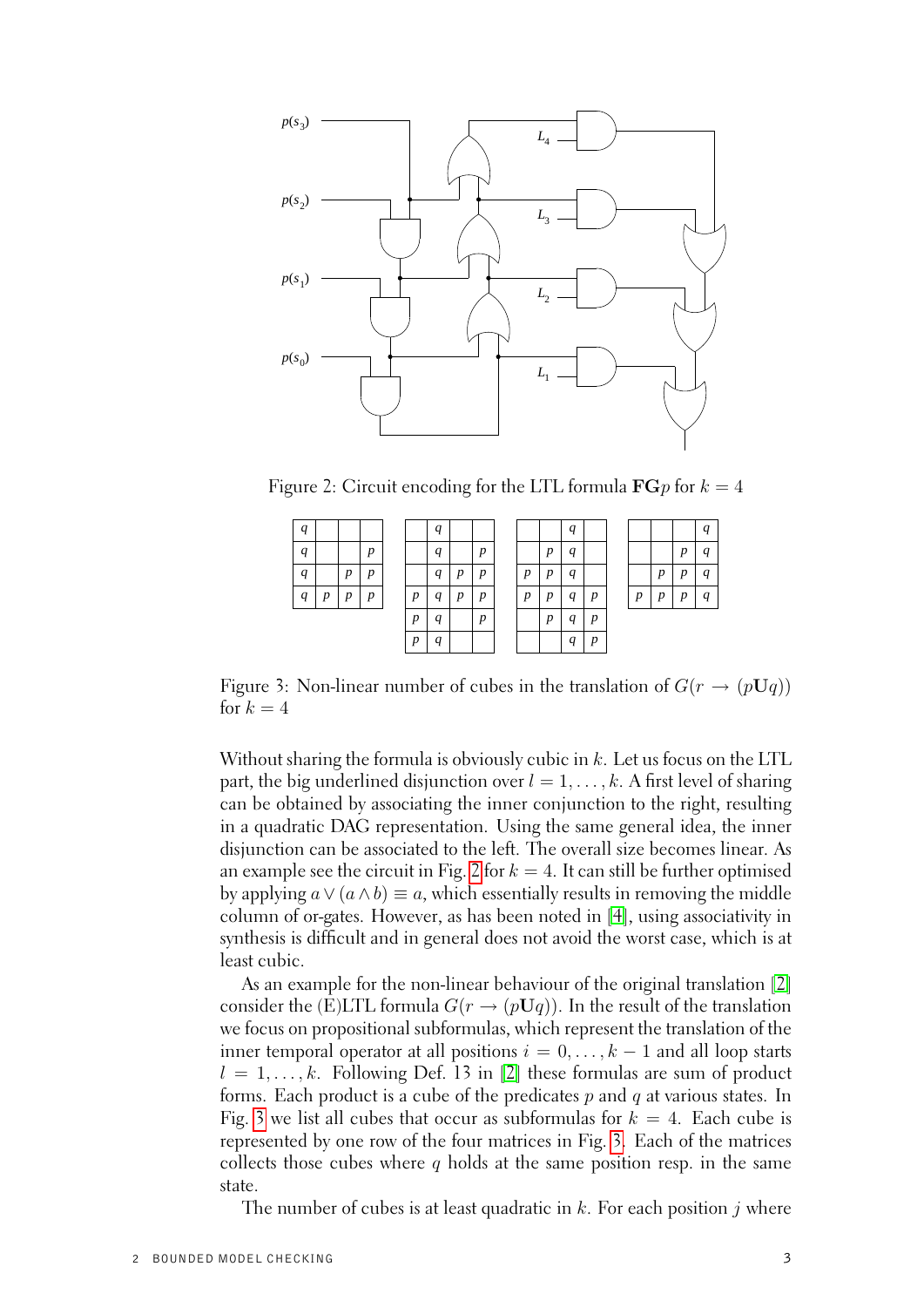

Figure 2: Circuit encoding for the LTL formula  $\mathbf{FG} p$  for  $k = 4$ 

<span id="page-8-0"></span>

| q                |   |                  |   |                  | $\boldsymbol{q}$ |   |   |                  |                  | q                |                  |   |                  |   | q                |
|------------------|---|------------------|---|------------------|------------------|---|---|------------------|------------------|------------------|------------------|---|------------------|---|------------------|
| $\boldsymbol{q}$ |   |                  | D |                  | $\boldsymbol{q}$ |   | n |                  | n                | q                |                  |   |                  | D | q                |
| $\boldsymbol{q}$ |   | $\boldsymbol{p}$ | p |                  | $\boldsymbol{q}$ | D | p | $\boldsymbol{D}$ | $\boldsymbol{p}$ | q                |                  |   | $\boldsymbol{p}$ | D | q                |
| q                | p | $\boldsymbol{v}$ | D | $\boldsymbol{p}$ | q                | n | n | n                | $\boldsymbol{D}$ | a                | $\boldsymbol{v}$ | p | $\boldsymbol{p}$ | n | $\boldsymbol{q}$ |
|                  |   |                  |   | p                | q                |   | D |                  | $\boldsymbol{p}$ | q                | $\boldsymbol{v}$ |   |                  |   |                  |
|                  |   |                  |   | p                | a                |   |   |                  |                  | $\boldsymbol{q}$ | $\boldsymbol{v}$ |   |                  |   |                  |

<span id="page-8-1"></span>Figure 3: Non-linear number of cubes in the translation of  $G(r \to (pUq))$ for  $k = 4$ 

Without sharing the formula is obviously cubic in  $k$ . Let us focus on the LTL part, the big underlined disjunction over  $l = 1, \ldots, k$ . A first level of sharing can be obtained by associating the inner conjunction to the right, resulting in a quadratic DAG representation. Using the same general idea, the inner disjunction can be associated to the left. The overall size becomes linear. As an example see the circuit in Fig. [2](#page-8-0) for  $k = 4$ . It can still be further optimised by applying  $a \vee (a \wedge b) \equiv a$ , which essentially results in removing the middle column of or-gates. However, as has been noted in [\[4\]](#page-19-3), using associativity in synthesis is difficult and in general does not avoid the worst case, which is at least cubic.

As an example for the non-linear behaviour of the original translation [\[2\]](#page-19-1) consider the (E)LTL formula  $G(r \to (pUq))$ . In the result of the translation we focus on propositional subformulas, which represent the translation of the inner temporal operator at all positions  $i = 0, \ldots, k - 1$  and all loop starts  $l = 1, \ldots, k$ . Following Def. 13 in [\[2\]](#page-19-1) these formulas are sum of product forms. Each product is a cube of the predicates  $p$  and  $q$  at various states. In Fig. [3](#page-8-1) we list all cubes that occur as subformulas for  $k = 4$ . Each cube is represented by one row of the four matrices in Fig. [3.](#page-8-1) Each of the matrices collects those cubes where q holds at the same position resp. in the same state.

The number of cubes is at least quadratic in  $k$ . For each position j where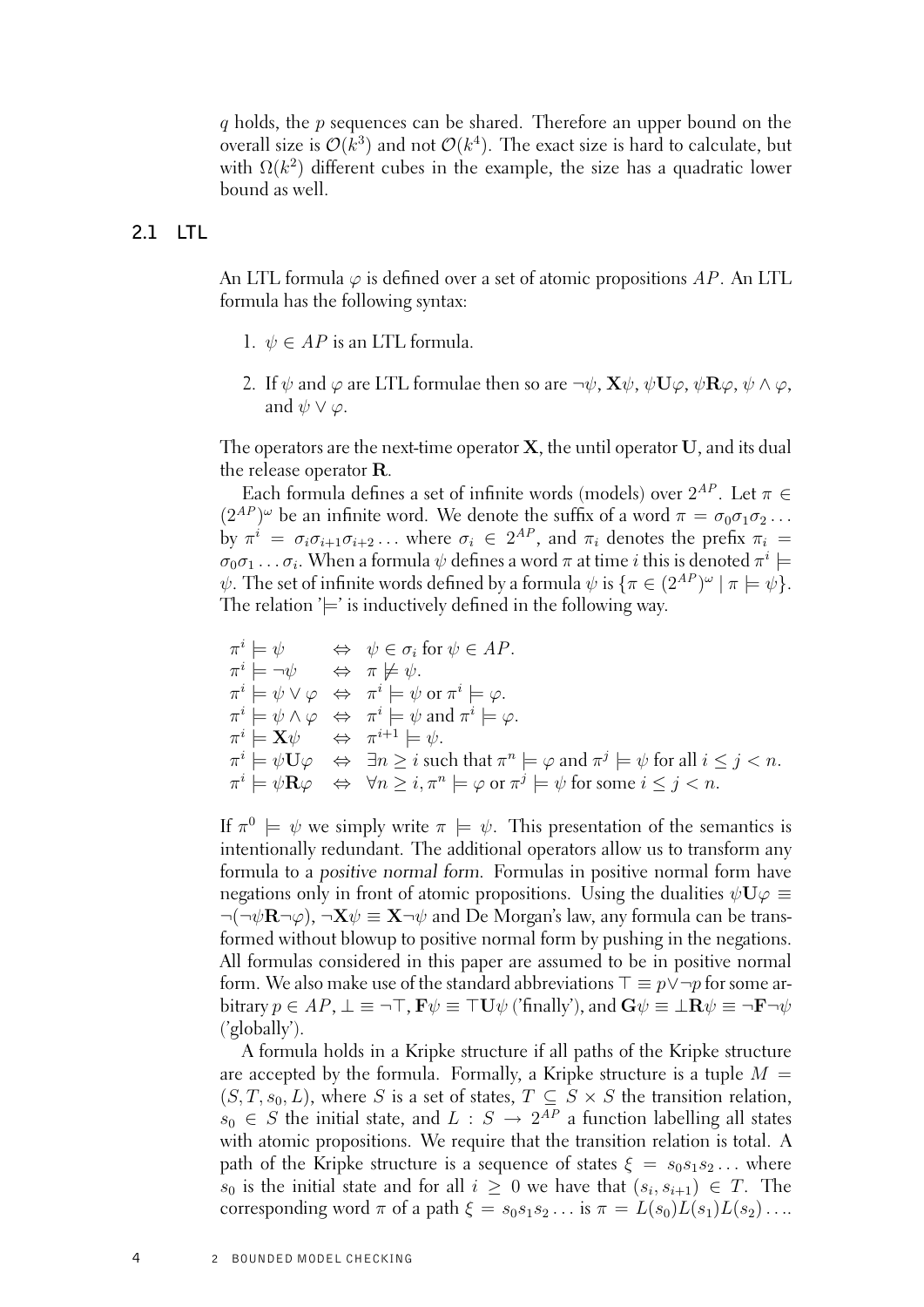$q$  holds, the  $p$  sequences can be shared. Therefore an upper bound on the overall size is  $\mathcal{O}(k^3)$  and not  $\mathcal{O}(k^4)$ . The exact size is hard to calculate, but with  $\Omega(k^2)$  different cubes in the example, the size has a quadratic lower bound as well.

## **2.1 LTL**

<span id="page-9-0"></span>An LTL formula  $\varphi$  is defined over a set of atomic propositions AP. An LTL formula has the following syntax:

- 1.  $\psi \in AP$  is an LTL formula.
- 2. If  $\psi$  and  $\varphi$  are LTL formulae then so are  $\neg \psi$ ,  ${\bf X}\psi$ ,  $\psi{\bf U}\varphi$ ,  $\psi{\bf R}\varphi$ ,  $\psi \wedge \varphi$ , and  $\psi \vee \varphi$ .

The operators are the next-time operator  $X$ , the until operator  $U$ , and its dual the release operator R.

Each formula defines a set of infinite words (models) over  $2^{AP}$ . Let  $\pi \in$  $(2^{AP})^{\omega}$  be an infinite word. We denote the suffix of a word  $\pi = \sigma_0 \sigma_1 \sigma_2 \ldots$ by  $\pi^i = \sigma_i \sigma_{i+1} \sigma_{i+2} \ldots$  where  $\sigma_i \in 2^{AP}$ , and  $\pi_i$  denotes the prefix  $\pi_i =$  $\sigma_0\sigma_1\ldots\sigma_i.$  When a formula  $\psi$  defines a word  $\pi$  at time  $i$  this is denoted  $\pi^i\models$  $\psi$ . The set of infinite words defined by a formula  $\psi$  is  $\{\pi \in (2^{AP})^{\omega} \mid \pi \models \psi\}.$ The relation  $\equiv$  is inductively defined in the following way.

$$
\pi^{i} \models \psi \iff \psi \in \sigma_{i} \text{ for } \psi \in AP.
$$
  
\n
$$
\pi^{i} \models \neg \psi \iff \pi \not\models \psi.
$$
  
\n
$$
\pi^{i} \models \psi \lor \varphi \iff \pi^{i} \models \psi \text{ or } \pi^{i} \models \varphi.
$$
  
\n
$$
\pi^{i} \models \psi \land \varphi \iff \pi^{i} \models \psi \text{ and } \pi^{i} \models \varphi.
$$
  
\n
$$
\pi^{i} \models X\psi \iff \pi^{i+1} \models \psi.
$$
  
\n
$$
\pi^{i} \models \psi \mathbf{U}\varphi \iff \exists n \geq i \text{ such that } \pi^{n} \models \varphi \text{ and } \pi^{j} \models \psi \text{ for all } i \leq j < n.
$$
  
\n
$$
\pi^{i} \models \psi \mathbf{R}\varphi \iff \forall n \geq i, \pi^{n} \models \varphi \text{ or } \pi^{j} \models \psi \text{ for some } i \leq j < n.
$$

If  $\pi^0 \models \psi$  we simply write  $\pi \models \psi$ . This presentation of the semantics is intentionally redundant. The additional operators allow us to transform any formula to a positive normal form. Formulas in positive normal form have negations only in front of atomic propositions. Using the dualities  $\psi \mathbf{U} \varphi \equiv$  $\neg(\neg \psi \mathbf{R} \neg \varphi)$ ,  $\neg \mathbf{X} \psi \equiv \mathbf{X} \neg \psi$  and De Morgan's law, any formula can be transformed without blowup to positive normal form by pushing in the negations. All formulas considered in this paper are assumed to be in positive normal form. We also make use of the standard abbreviations  $\top \equiv p \lor \neg p$  for some arbitrary  $p \in AP$ ,  $\bot \equiv \neg \top$ ,  $\mathbf{F}\psi \equiv \top \mathbf{U}\psi$  ('finally'), and  $\mathbf{G}\psi \equiv \bot \mathbf{R}\psi \equiv \neg \mathbf{F}\neg \psi$ ('globally').

A formula holds in a Kripke structure if all paths of the Kripke structure are accepted by the formula. Formally, a Kripke structure is a tuple  $M =$  $(S, T, s_0, L)$ , where S is a set of states,  $T \subseteq S \times S$  the transition relation,  $s_0 \in S$  the initial state, and  $L : S \to 2^{AP}$  a function labelling all states with atomic propositions. We require that the transition relation is total. A path of the Kripke structure is a sequence of states  $\xi = s_0s_1s_2...$  where  $s_0$  is the initial state and for all  $i \geq 0$  we have that  $(s_i, s_{i+1}) \in T$ . The corresponding word  $\pi$  of a path  $\xi = s_0s_1s_2...$  is  $\pi = L(s_0)L(s_1)L(s_2)...$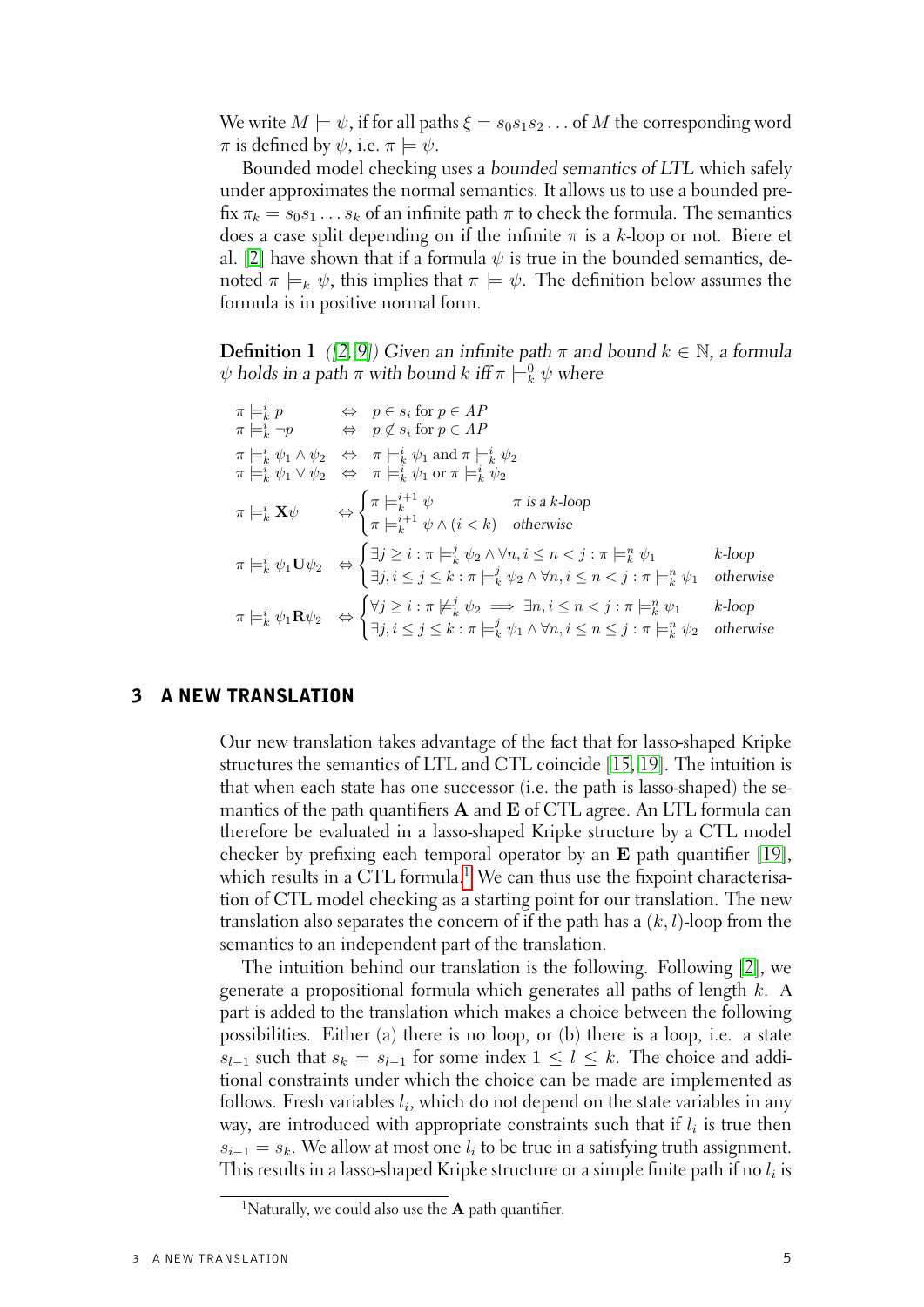We write  $M \models \psi$ , if for all paths  $\xi = s_0 s_1 s_2 \dots$  of M the corresponding word  $\pi$  is defined by  $\psi$ , i.e.  $\pi \models \psi$ .

Bounded model checking uses a bounded semantics of LTL which safely under approximates the normal semantics. It allows us to use a bounded prefix  $\pi_k = s_0 s_1 \dots s_k$  of an infinite path  $\pi$  to check the formula. The semantics does a case split depending on if the infinite  $\pi$  is a k-loop or not. Biere et al. [\[2\]](#page-19-1) have shown that if a formula  $\psi$  is true in the bounded semantics, denoted  $\pi \models_k \psi$ , this implies that  $\pi \models \psi$ . The definition below assumes the formula is in positive normal form.

**Definition 1** ([\[2,](#page-19-1) [9\]](#page-20-2)) Given an infinite path  $\pi$  and bound  $k \in \mathbb{N}$ , a formula  $\psi$  holds in a path  $\pi$  with bound  $k$  iff  $\pi \models^0_k \psi$  where

|  | $\begin{array}{lll} \pi \models_k^i p & \Leftrightarrow & p \in s_i \text{ for } p \in AP \\ \pi \models_k^i \neg p & \Leftrightarrow & p \not\in s_i \text{ for } p \in AP \end{array}$                                                                                                                                                                         |                        |
|--|------------------------------------------------------------------------------------------------------------------------------------------------------------------------------------------------------------------------------------------------------------------------------------------------------------------------------------------------------------------|------------------------|
|  | $\begin{array}{lll} \pi \models_k^i \psi_1 \wedge \psi_2 & \Leftrightarrow & \pi \models_k^i \psi_1 \text{ and } \pi \models_k^i \psi_2 \\ \pi \models_k^i \psi_1 \vee \psi_2 & \Leftrightarrow & \pi \models_k^i \psi_1 \text{ or } \pi \models_k^i \psi_2 \end{array}$                                                                                         |                        |
|  | $\pi \models^i_k \mathbf{X} \psi \qquad \Leftrightarrow \begin{cases} \pi \models^{i+1}_k \psi & \pi \text{ is a } k\text{-loop} \\ \pi \models^{i+1}_k \psi \land (i < k) & \text{otherwise} \end{cases}$                                                                                                                                                       |                        |
|  | $\pi \models^i_k \psi_1 \mathbf{U} \psi_2 \quad \Leftrightarrow \begin{cases} \exists j \geq i : \pi \models^j_k \psi_2 \land \forall n, i \leq n < j : \pi \models^n_k \psi_1 \\ \exists j, i \leq j \leq k : \pi \models^j_k \psi_2 \land \forall n, i \leq n < j : \pi \models^n_k \psi_1 \end{cases}$                                                        | $k$ -loop<br>otherwise |
|  | $\pi \models^i_k \psi_1 \mathbf{R} \psi_2 \quad \Leftrightarrow \begin{cases} \forall j \geq i : \pi \not \models^j_k \psi_2 \implies \exists n, i \leq n < j : \pi \models^n_k \psi_1 \qquad k\text{-loop} \\ \exists j, i \leq j \leq k : \pi \models^j_k \psi_1 \land \forall n, i \leq n \leq j : \pi \models^n_k \psi_2 \quad \text{otherwise} \end{cases}$ |                        |

## 3 A NEW TRANSLATION

<span id="page-10-0"></span>Our new translation takes advantage of the fact that for lasso-shaped Kripke structures the semantics of LTL and CTL coincide [\[15,](#page-20-3) [19\]](#page-20-4). The intuition is that when each state has one successor (i.e. the path is lasso-shaped) the semantics of the path quantifiers  $A$  and  $E$  of CTL agree. An LTL formula can therefore be evaluated in a lasso-shaped Kripke structure by a CTL model checker by prefixing each temporal operator by an E path quantifier [\[19\]](#page-20-4), which results in a CTL formula.<sup>[1](#page-10-1)</sup> We can thus use the fixpoint characterisation of CTL model checking as a starting point for our translation. The new translation also separates the concern of if the path has a  $(k, l)$ -loop from the semantics to an independent part of the translation.

The intuition behind our translation is the following. Following [\[2\]](#page-19-1), we generate a propositional formula which generates all paths of length k. A part is added to the translation which makes a choice between the following possibilities. Either (a) there is no loop, or (b) there is a loop, i.e. a state  $s_{l-1}$  such that  $s_k = s_{l-1}$  for some index  $1 \leq l \leq k$ . The choice and additional constraints under which the choice can be made are implemented as follows. Fresh variables  $l_i$ , which do not depend on the state variables in any way, are introduced with appropriate constraints such that if  $l_i$  is true then  $s_{i-1} = s_k$ . We allow at most one  $l_i$  to be true in a satisfying truth assignment. This results in a lasso-shaped Kripke structure or a simple finite path if no  $l_i$  is

<span id="page-10-1"></span><sup>&</sup>lt;sup>1</sup>Naturally, we could also use the **A** path quantifier.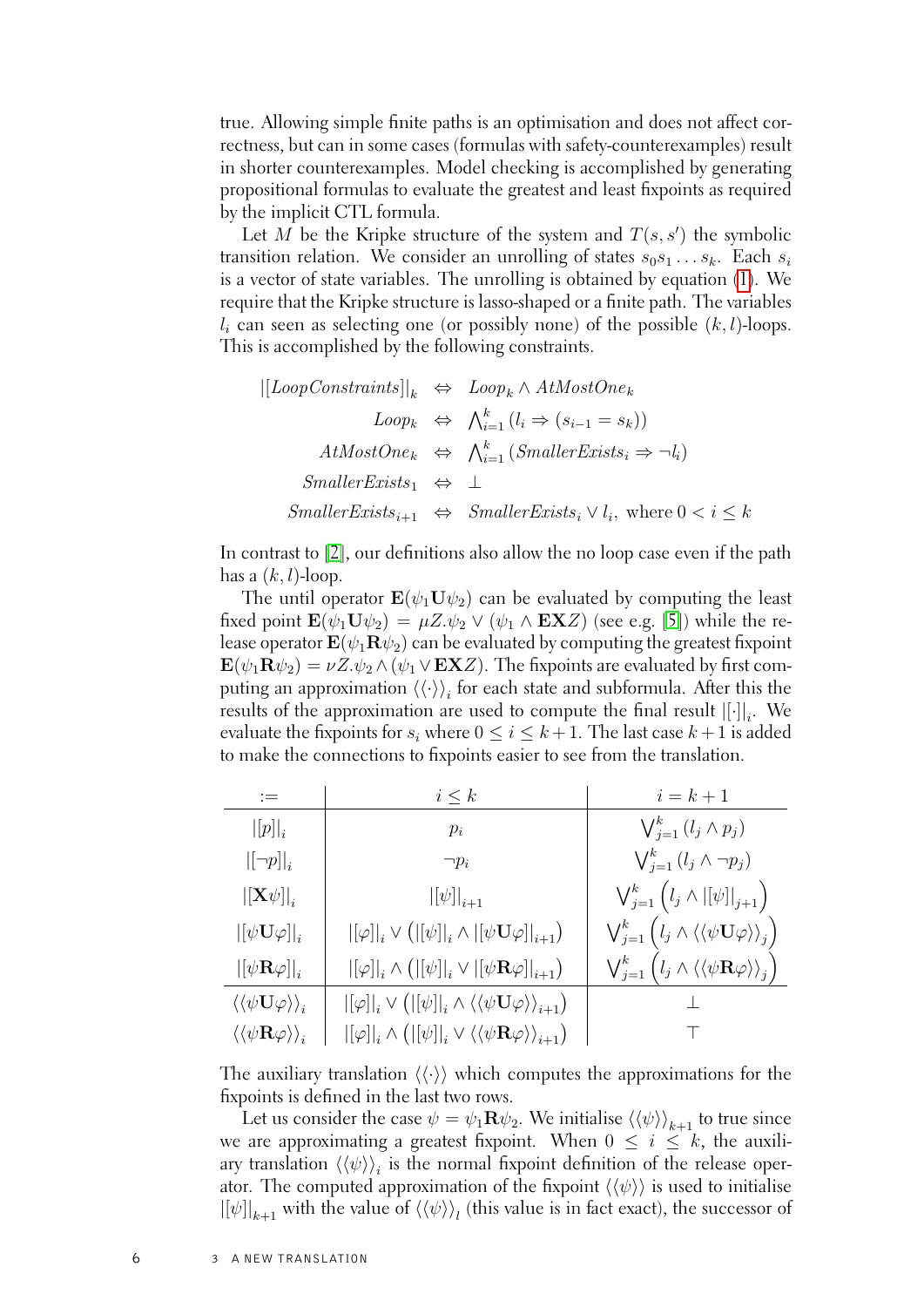true. Allowing simple finite paths is an optimisation and does not affect correctness, but can in some cases (formulas with safety-counterexamples) result in shorter counterexamples. Model checking is accomplished by generating propositional formulas to evaluate the greatest and least fixpoints as required by the implicit CTL formula.

Let M be the Kripke structure of the system and  $T(s, s')$  the symbolic transition relation. We consider an unrolling of states  $s_0s_1 \ldots s_k$ . Each  $s_i$ is a vector of state variables. The unrolling is obtained by equation [\(1\)](#page-7-1). We require that the Kripke structure is lasso-shaped or a finite path. The variables  $l_i$  can seen as selecting one (or possibly none) of the possible  $(k, l)$ -loops. This is accomplished by the following constraints.

$$
\begin{aligned} |[LoopConstraints]|_k &\Leftrightarrow Loop_k \wedge AtMostOne_k \\ Loop_k &\Leftrightarrow \bigwedge_{i=1}^k (l_i \Rightarrow (s_{i-1} = s_k)) \\ AtMostOne_k &\Leftrightarrow \bigwedge_{i=1}^k (SmallerExists_i \Rightarrow \neg l_i) \\ SmallerExists_1 &\Leftrightarrow \bot \\ SmallerExists_{i+1} &\Leftrightarrow SmallerExists_i \vee l_i, \text{ where } 0 < i \leq k \end{aligned}
$$

In contrast to [\[2\]](#page-19-1), our definitions also allow the no loop case even if the path has a  $(k, l)$ -loop.

The until operator  $\mathbf{E}(\psi_1 \mathbf{U} \psi_2)$  can be evaluated by computing the least fixed point  $\mathbf{E}(\psi_1 \mathbf{U} \psi_2) = \mu Z \psi_2 \vee (\psi_1 \wedge \mathbf{EX} Z)$  (see e.g. [\[5\]](#page-19-4)) while the release operator  $\mathbf{E}(\psi_1 \mathbf{R} \psi_2)$  can be evaluated by computing the greatest fixpoint  $\mathbf{E}(\psi_1 \mathbf{R} \psi_2) = \nu Z \psi_2 \wedge (\psi_1 \vee \mathbf{EX} Z)$ . The fixpoints are evaluated by first computing an approximation  $\left<\left<\cdot\right>\right>_{i}$  for each state and subformula. After this the results of the approximation are used to compute the final result  $\left|\left[\cdot\right]\right|_i$ . We evaluate the fixpoints for  $s_i$  where  $0 \le i \le k+1$ . The last case  $k+1$  is added to make the connections to fixpoints easier to see from the translation.

| $:=$                                                                      | $i \leq k$                                                                                                                                                                                                                | $i=k+1$                                                                                            |
|---------------------------------------------------------------------------|---------------------------------------------------------------------------------------------------------------------------------------------------------------------------------------------------------------------------|----------------------------------------------------------------------------------------------------|
| $ [p] _i$                                                                 | $p_i$                                                                                                                                                                                                                     | $\bigvee_{j=1}^k (l_j \wedge p_j)$                                                                 |
| $\left  \left[ \neg p \right] \right _i$                                  | $\neg p_i$                                                                                                                                                                                                                | $\bigvee_{j=1}^k (l_j \wedge \neg p_j)$                                                            |
| $\left\Vert \mathbf{X}\psi\right\Vert _{i}$                               | $\left\vert [\psi]\right\vert_{i+1}$                                                                                                                                                                                      | $\bigvee_{j=1}^{k} (l_j \wedge  [\psi] _{j+1})$                                                    |
| $\left\vert\left\vert \psi\mathbf{U}\varphi\right\vert\right\vert_{i}$    | $\left\lbrack\left\lbrack\varphi\right\rbrack\right\rbrack_i\vee\left(\left\lbrack\left\lbrack\psi\right\rbrack\right\rbrack_i\wedge\left\lbrack\left\lbrack\psi\mathbf{U}\varphi\right\rbrack\right\rbrack_{i+1}\right)$ | $\bigvee_{j=1}^k \big( l_j \wedge \langle\langle \psi \mathbf{U} \varphi \rangle\rangle_j \big)$   |
| $\left\vert \left\vert \psi\mathbf{R}\varphi\right\vert \right\vert _{i}$ | $\left\vert\left[\varphi\right]\right\vert_{i}\wedge\left(\left\vert\left[\psi\right]\right\vert_{i}\vee\left\vert\left[\psi\mathbf{R}\varphi\right]\right\vert_{i+1}\right)$                                             | $\bigvee_{j=1}^k \big( l_j \wedge \langle \langle \psi \mathbf{R} \varphi \rangle \rangle_j \big)$ |
| $\langle\langle\psi\mathbf{U}\varphi\rangle\rangle_i$                     | $ [\varphi] _i \vee ( [\psi] _i \wedge \langle \langle \psi \mathbf{U} \varphi \rangle \rangle_{i+1})$                                                                                                                    |                                                                                                    |
| $\langle\langle \psi {\bf R} \varphi \rangle\rangle_i$                    | $\left\vert [\varphi]\right\vert _{i}\wedge\left(\vert [\psi]\right\vert _{i}\vee\left\langle \left\langle \psi\mathbf{R}\varphi\right\rangle \right\rangle _{i+1}\right)$                                                |                                                                                                    |

The auxiliary translation  $\langle \langle \cdot \rangle \rangle$  which computes the approximations for the fixpoints is defined in the last two rows.

Let us consider the case  $\psi = \psi_1 \mathbf{R} \psi_2$ . We initialise  $\langle \langle \psi \rangle \rangle_{k+1}$  to true since we are approximating a greatest fixpoint. When  $0 \leq i \leq k$ , the auxiliary translation  $\langle\langle\psi\rangle\rangle_{i}$  is the normal fixpoint definition of the release operator. The computed approximation of the fixpoint  $\langle\langle\psi\rangle\rangle$  is used to initialise  $\left\vert \left[ \psi\right] \right\vert_{k+1}$  with the value of  $\langle\langle\psi\rangle\rangle_{l}$  (this value is in fact exact), the successor of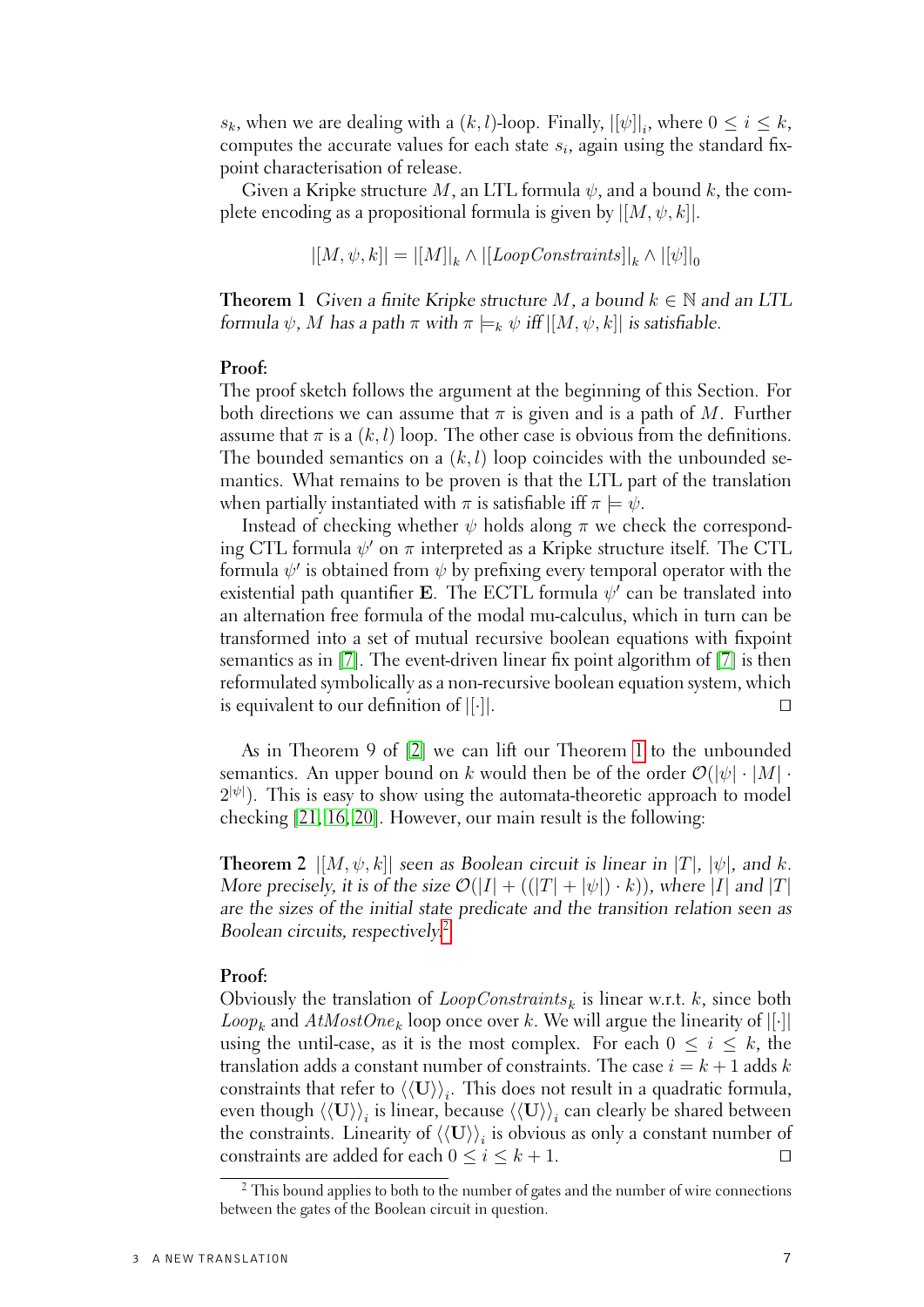$s_k$ , when we are dealing with a  $(k, l)$ -loop. Finally,  $|[\psi]|_i$ , where  $0 \le i \le k$ , computes the accurate values for each state  $s_i$ , again using the standard fixpoint characterisation of release.

Given a Kripke structure M, an LTL formula  $\psi$ , and a bound k, the complete encoding as a propositional formula is given by  $[[M, \psi, k]].$ 

 $|[M,\psi,k]|=|[M]|_k\wedge|[LoopConstraints]|_k\wedge|[{\psi}]|_0$ 

<span id="page-12-0"></span>**Theorem 1** Given a finite Kripke structure M, a bound  $k \in \mathbb{N}$  and an LTL formula  $\psi$ , M has a path  $\pi$  with  $\pi \models_k \psi$  iff  $[[M, \psi, k]]$  is satisfiable.

#### **Proof:**

The proof sketch follows the argument at the beginning of this Section. For both directions we can assume that  $\pi$  is given and is a path of M. Further assume that  $\pi$  is a  $(k, l)$  loop. The other case is obvious from the definitions. The bounded semantics on a  $(k, l)$  loop coincides with the unbounded semantics. What remains to be proven is that the LTL part of the translation when partially instantiated with  $\pi$  is satisfiable iff  $\pi \models \psi$ .

Instead of checking whether  $\psi$  holds along  $\pi$  we check the corresponding CTL formula  $\psi'$  on  $\pi$  interpreted as a Kripke structure itself. The CTL formula  $\psi'$  is obtained from  $\psi$  by prefixing every temporal operator with the existential path quantifier E. The ECTL formula  $\psi'$  can be translated into an alternation free formula of the modal mu-calculus, which in turn can be transformed into a set of mutual recursive boolean equations with fixpoint semantics as in [\[7\]](#page-20-5). The event-driven linear fix point algorithm of [\[7\]](#page-20-5) is then reformulated symbolically as a non-recursive boolean equation system, which is equivalent to our definition of  $[[\cdot]]$ .

As in Theorem 9 of [\[2\]](#page-19-1) we can lift our Theorem [1](#page-12-0) to the unbounded semantics. An upper bound on k would then be of the order  $\mathcal{O}(|\psi| \cdot |M| \cdot$  $2^{|\psi|}$ ). This is easy to show using the automata-theoretic approach to model checking [\[21,](#page-21-0) [16,](#page-20-6) [20\]](#page-21-1). However, our main result is the following:

**Theorem 2**  $|[M, \psi, k]|$  seen as Boolean circuit is linear in  $|T|$ ,  $|\psi|$ , and k. More precisely, it is of the size  $\mathcal{O}(|I| + ((|T| + |\psi|) \cdot k))$ , where |I| and |T| are the sizes of the initial state predicate and the transition relation seen as Boolean circuits, respectively.[2](#page-12-1)

## **Proof:**

Obviously the translation of  $Loop Constraints_k$  is linear w.r.t.  $k$ , since both *Loop<sub>k</sub>* and  $AtMostOne_k$  loop once over k. We will argue the linearity of [[·]] using the until-case, as it is the most complex. For each  $0 \le i \le k$ , the translation adds a constant number of constraints. The case  $i = k + 1$  adds k constraints that refer to  $\langle\langle \mathbf{U}\rangle\rangle_i$ . This does not result in a quadratic formula, even though  $\braket{\langle \mathbf{U}\rangle}_i$  is linear, because  $\braket{\langle \mathbf{U}\rangle}_i$  can clearly be shared between the constraints. Linearity of  $\langle\langle\mathbf{U}\rangle\rangle_i$  is obvious as only a constant number of constraints are added for each  $0 \le i \le k+1$ .

<span id="page-12-1"></span><sup>&</sup>lt;sup>2</sup> This bound applies to both to the number of gates and the number of wire connections between the gates of the Boolean circuit in question.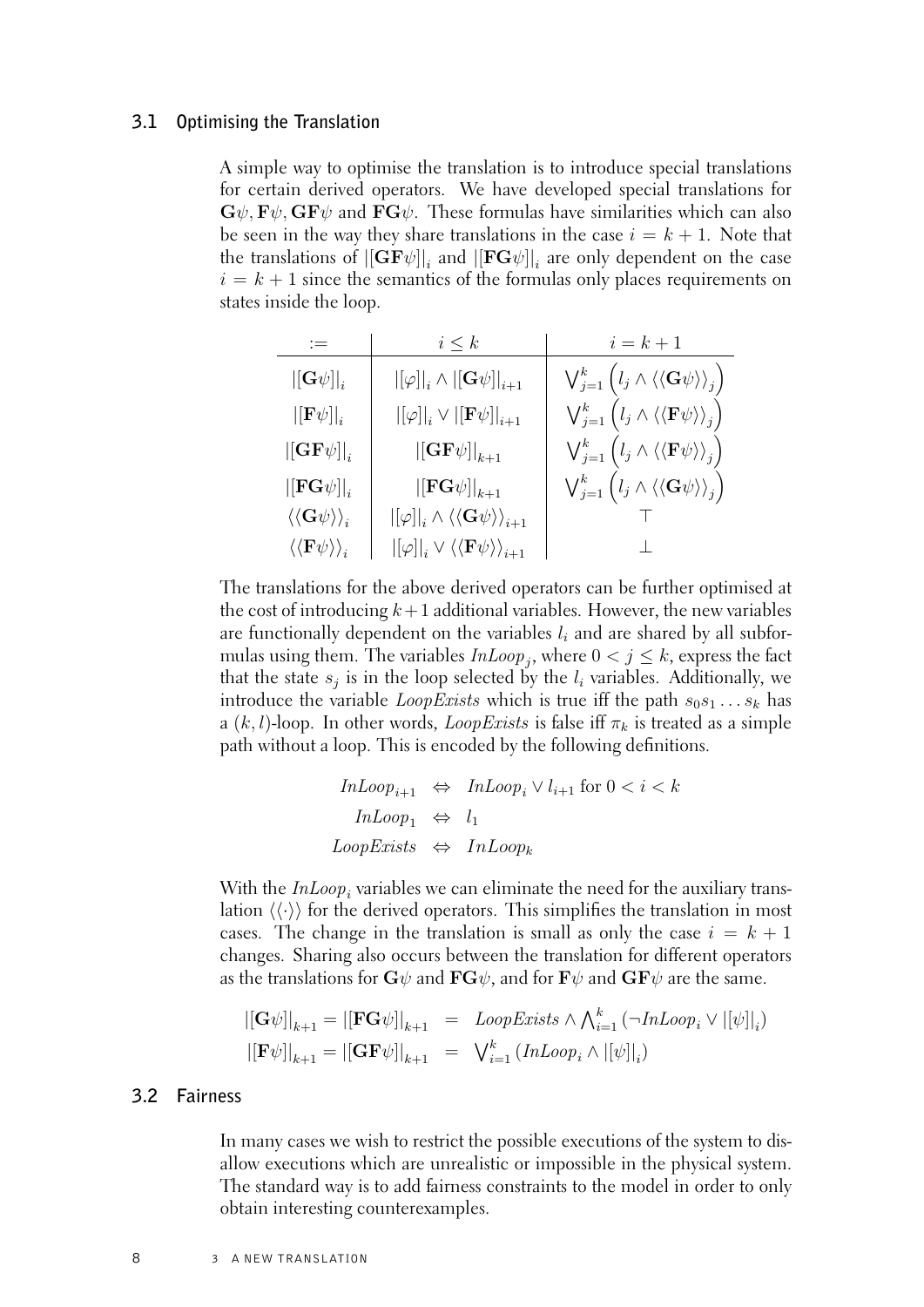#### **3.1 Optimising the Translation**

<span id="page-13-0"></span>A simple way to optimise the translation is to introduce special translations for certain derived operators. We have developed special translations for  ${\bf G}\psi$ ,  ${\bf F}\psi$ ,  ${\bf G}{\bf F}\psi$  and  ${\bf FG}\psi$ . These formulas have similarities which can also be seen in the way they share translations in the case  $i = k + 1$ . Note that the translations of  $\left|\left[\mathbf{G}\mathbf{F}\psi\right]\right|_i$  and  $\left|\left[\mathbf{F}\mathbf{G}\psi\right]\right|_i$  are only dependent on the case  $i = k + 1$  since the semantics of the formulas only places requirements on states inside the loop.

|                                                                            | $i \leq k$                                                                                                          | $i = k + 1$                                                                                                             |
|----------------------------------------------------------------------------|---------------------------------------------------------------------------------------------------------------------|-------------------------------------------------------------------------------------------------------------------------|
| $\left\Vert \left[ \mathbf{G}\psi\right] \right\Vert _{i}$                 | $\left\lvert\left[\varphi\right]\right\rvert_i \wedge \left\lvert\left[\mathbf{G} \psi\right]\right\rvert_{i+1}$    | $\bigvee_{j=1}^k \Big(l_j \wedge \langle\langle \mathbf{G} \psi \rangle\rangle_j\Big)$                                  |
| $\left\Vert \left[\mathbf{F}\psi\right]\right\Vert _{i}$                   | $\left  \left[ \varphi \right] \right  _{i}\vee \left  \left[ \mathbf{F}\psi \right] \right  _{i+1}$                | $\bigvee_{j=1}^k \big( l_j \wedge \langle \langle \mathbf{F} \psi \rangle \rangle_j \big)$                              |
| $\left \left[\mathbf{G}\mathbf{F}\psi\right]\right _i$                     | $\left\vert\left[\mathbf{G}\mathbf{F}\psi\right]\right\vert_{k+1}$                                                  | $\bigvee_{j=1}^{k} \left(l_{j} \wedge \left\langle \left\langle \mathbf{F} \psi \right\rangle \right\rangle_{j}\right)$ |
| $\left\Vert \mathbf{FG}\psi \right\Vert _{i}$                              | $ [\mathbf{FG}\psi] _{k+1}$                                                                                         | $\bigvee_{j=1}^{k}\Big( l_{j}\wedge\langle\langle\mathbf{G\psi}\rangle\rangle_{j}\Big)$                                 |
| $\langle\langle \mathbf{G}\psi\rangle\rangle_i$                            | $\left \left[\varphi\right]\right _i \wedge \left\langle\left\langle\mathbf{G\psi}\right\rangle\right\rangle_{i+1}$ |                                                                                                                         |
| $\left\langle \left\langle \mathrm{F}\psi\right\rangle \right\rangle _{i}$ | $\left \left[\varphi\right]\right _i \vee \left\langle\left\langle \mathbf{F} \psi\right\rangle\right\rangle_{i+1}$ |                                                                                                                         |

The translations for the above derived operators can be further optimised at the cost of introducing  $k+1$  additional variables. However, the new variables are functionally dependent on the variables  $l_i$  and are shared by all subformulas using them. The variables  $InLoop_j$ , where  $0 < j \le k$ , express the fact that the state  $s_j$  is in the loop selected by the  $l_i$  variables. Additionally, we introduce the variable *LoopExists* which is true iff the path  $s_0s_1 \ldots s_k$  has a  $(k, l)$ -loop. In other words, *LoopExists* is false iff  $\pi_k$  is treated as a simple path without a loop. This is encoded by the following definitions.

```
InLoop<sub>i+1</sub> ⇔ InLoop<sub>i</sub> \vee l<sub>i+1</sub> for 0 < i < k
    InLoop_1 \Leftrightarrow l_1Loop{{}Exists} \Leftrightarrow InLoop_k
```
With the  $InLoop_i$  variables we can eliminate the need for the auxiliary translation  $\langle \langle \cdot \rangle \rangle$  for the derived operators. This simplifies the translation in most cases. The change in the translation is small as only the case  $i = k + 1$ changes. Sharing also occurs between the translation for different operators as the translations for  $\mathbf{G}\psi$  and  $\mathbf{F}\mathbf{G}\psi$ , and for  $\mathbf{F}\psi$  and  $\mathbf{G}\mathbf{F}\psi$  are the same.

$$
\begin{aligned}\n\left\| \left[ \mathbf{G} \psi \right] \right\|_{k+1} &= \left\| \left[ \mathbf{F} \mathbf{G} \psi \right] \right\|_{k+1} &= LoopExists \wedge \bigwedge_{i=1}^{k} \left( \neg InLoop_{i} \vee \left| [\psi] \right|_{i} \right) \\
\left\| \left[ \mathbf{F} \psi \right] \right\|_{k+1} &= \left| \left[ \mathbf{G} \mathbf{F} \psi \right] \right|_{k+1} &= \left| \bigvee_{i=1}^{k} \left( InLoop_{i} \wedge \left| [\psi] \right|_{i} \right)\n\end{aligned}
$$

## **3.2 Fairness**

<span id="page-13-1"></span>In many cases we wish to restrict the possible executions of the system to disallow executions which are unrealistic or impossible in the physical system. The standard way is to add fairness constraints to the model in order to only obtain interesting counterexamples.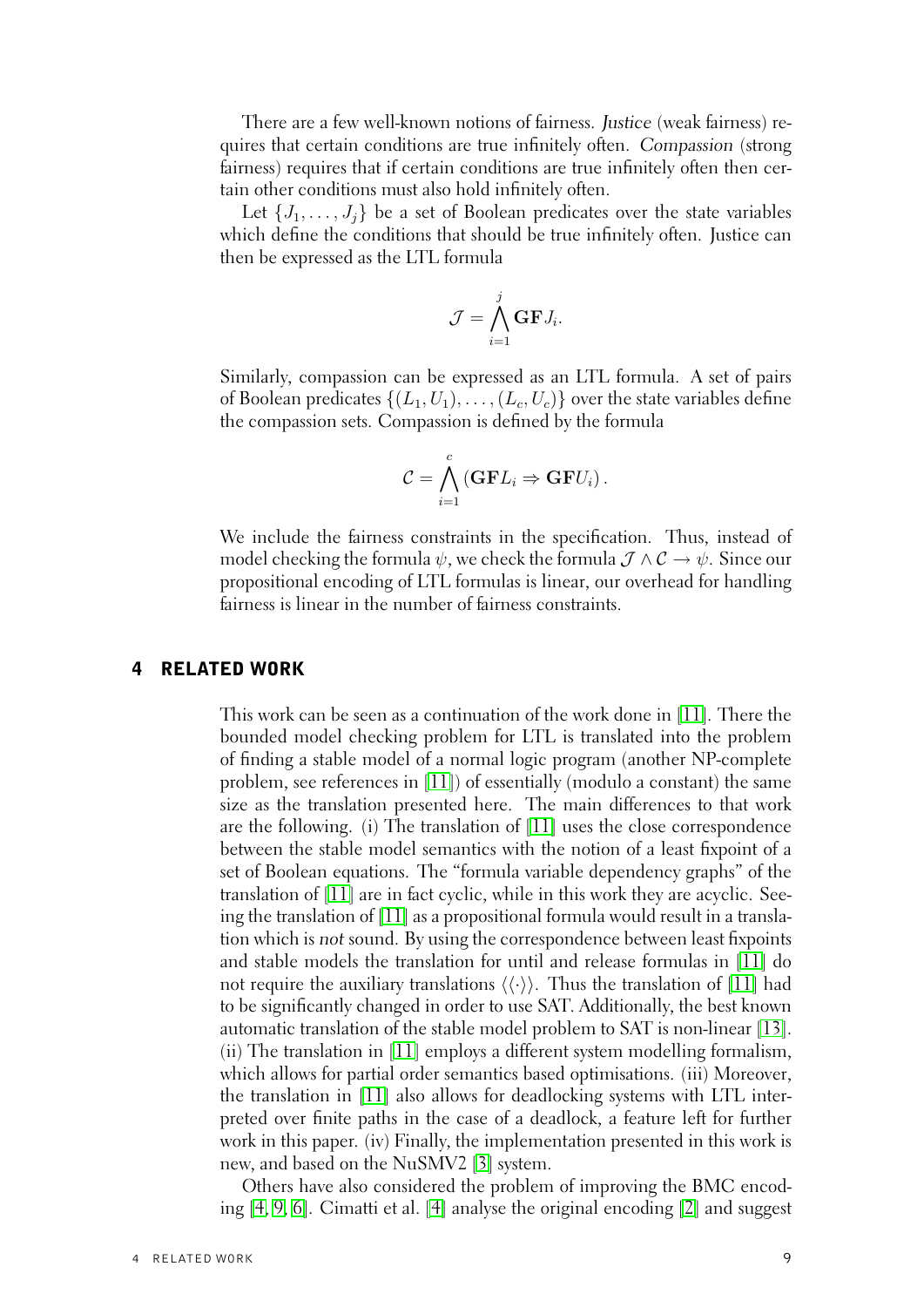There are a few well-known notions of fairness. Justice (weak fairness) requires that certain conditions are true infinitely often. Compassion (strong fairness) requires that if certain conditions are true infinitely often then certain other conditions must also hold infinitely often.

Let  $\{J_1, \ldots, J_i\}$  be a set of Boolean predicates over the state variables which define the conditions that should be true infinitely often. Justice can then be expressed as the LTL formula

$$
\mathcal{J} = \bigwedge_{i=1}^j \mathbf{G} \mathbf{F} J_i.
$$

Similarly, compassion can be expressed as an LTL formula. A set of pairs of Boolean predicates  $\{(L_1, U_1), \ldots, (L_c, U_c)\}\$  over the state variables define the compassion sets. Compassion is defined by the formula

$$
\mathcal{C} = \bigwedge_{i=1}^c (\mathbf{GFL}_i \Rightarrow \mathbf{GFU}_i).
$$

We include the fairness constraints in the specification. Thus, instead of model checking the formula  $\psi$ , we check the formula  $\mathcal{J} \wedge \mathcal{C} \rightarrow \psi$ . Since our propositional encoding of LTL formulas is linear, our overhead for handling fairness is linear in the number of fairness constraints.

## 4 RELATED WORK

<span id="page-14-0"></span>This work can be seen as a continuation of the work done in [\[11\]](#page-20-7). There the bounded model checking problem for LTL is translated into the problem of finding a stable model of a normal logic program (another NP-complete problem, see references in [\[11\]](#page-20-7)) of essentially (modulo a constant) the same size as the translation presented here. The main differences to that work are the following. (i) The translation of [\[11\]](#page-20-7) uses the close correspondence between the stable model semantics with the notion of a least fixpoint of a set of Boolean equations. The "formula variable dependency graphs" of the translation of [\[11\]](#page-20-7) are in fact cyclic, while in this work they are acyclic. Seeing the translation of [\[11\]](#page-20-7) as a propositional formula would result in a translation which is not sound. By using the correspondence between least fixpoints and stable models the translation for until and release formulas in [\[11\]](#page-20-7) do not require the auxiliary translations  $\langle\langle\cdot\rangle\rangle$ . Thus the translation of [\[11\]](#page-20-7) had to be significantly changed in order to use SAT. Additionally, the best known automatic translation of the stable model problem to SAT is non-linear [\[13\]](#page-20-8). (ii) The translation in [\[11\]](#page-20-7) employs a different system modelling formalism, which allows for partial order semantics based optimisations. (iii) Moreover, the translation in [\[11\]](#page-20-7) also allows for deadlocking systems with LTL interpreted over finite paths in the case of a deadlock, a feature left for further work in this paper. (iv) Finally, the implementation presented in this work is new, and based on the NuSMV2 [\[3\]](#page-19-5) system.

Others have also considered the problem of improving the BMC encoding [\[4,](#page-19-3) [9,](#page-20-2) [6\]](#page-19-2). Cimatti et al. [\[4\]](#page-19-3) analyse the original encoding [\[2\]](#page-19-1) and suggest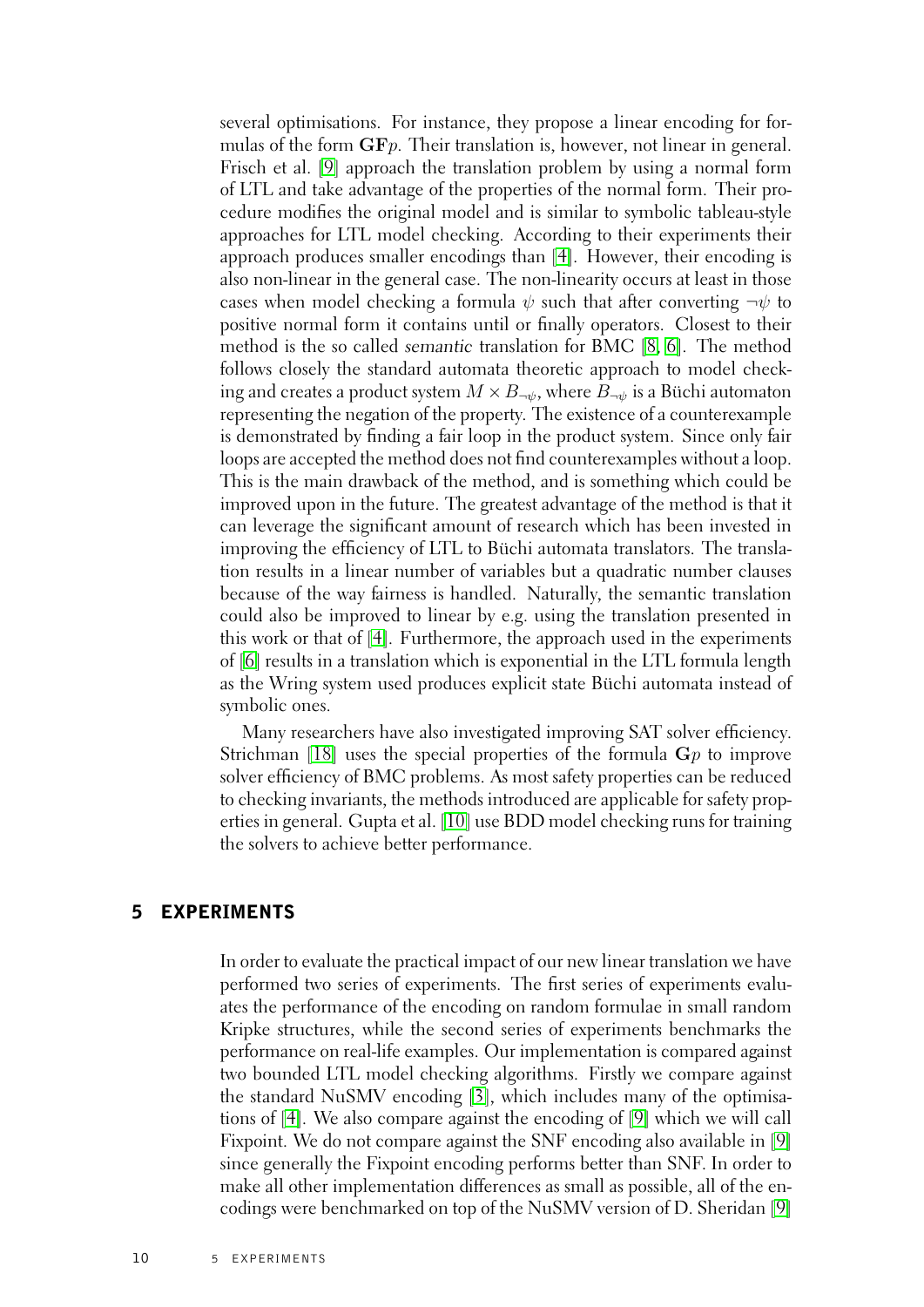several optimisations. For instance, they propose a linear encoding for formulas of the form  $\mathbf{G}\mathbf{F}p$ . Their translation is, however, not linear in general. Frisch et al. [\[9\]](#page-20-2) approach the translation problem by using a normal form of LTL and take advantage of the properties of the normal form. Their procedure modifies the original model and is similar to symbolic tableau-style approaches for LTL model checking. According to their experiments their approach produces smaller encodings than [\[4\]](#page-19-3). However, their encoding is also non-linear in the general case. The non-linearity occurs at least in those cases when model checking a formula  $\psi$  such that after converting  $\neg \psi$  to positive normal form it contains until or finally operators. Closest to their method is the so called semantic translation for BMC [\[8,](#page-20-9) [6\]](#page-19-2). The method follows closely the standard automata theoretic approach to model checking and creates a product system  $M \times B_{\neg \psi}$ , where  $B_{\neg \psi}$  is a Büchi automaton representing the negation of the property. The existence of a counterexample is demonstrated by finding a fair loop in the product system. Since only fair loops are accepted the method does not find counterexamples without a loop. This is the main drawback of the method, and is something which could be improved upon in the future. The greatest advantage of the method is that it can leverage the significant amount of research which has been invested in improving the efficiency of LTL to Büchi automata translators. The translation results in a linear number of variables but a quadratic number clauses because of the way fairness is handled. Naturally, the semantic translation could also be improved to linear by e.g. using the translation presented in this work or that of [\[4\]](#page-19-3). Furthermore, the approach used in the experiments of [\[6\]](#page-19-2) results in a translation which is exponential in the LTL formula length as the Wring system used produces explicit state Büchi automata instead of symbolic ones.

Many researchers have also investigated improving SAT solver efficiency. Strichman [\[18\]](#page-20-0) uses the special properties of the formula  $G_p$  to improve solver efficiency of BMC problems. As most safety properties can be reduced to checking invariants, the methods introduced are applicable for safety properties in general. Gupta et al. [\[10\]](#page-20-10) use BDD model checking runs for training the solvers to achieve better performance.

## 5 EXPERIMENTS

<span id="page-15-0"></span>In order to evaluate the practical impact of our new linear translation we have performed two series of experiments. The first series of experiments evaluates the performance of the encoding on random formulae in small random Kripke structures, while the second series of experiments benchmarks the performance on real-life examples. Our implementation is compared against two bounded LTL model checking algorithms. Firstly we compare against the standard NuSMV encoding [\[3\]](#page-19-5), which includes many of the optimisations of [\[4\]](#page-19-3). We also compare against the encoding of [\[9\]](#page-20-2) which we will call Fixpoint. We do not compare against the SNF encoding also available in [\[9\]](#page-20-2) since generally the Fixpoint encoding performs better than SNF. In order to make all other implementation differences as small as possible, all of the encodings were benchmarked on top of the NuSMV version of D. Sheridan [\[9\]](#page-20-2)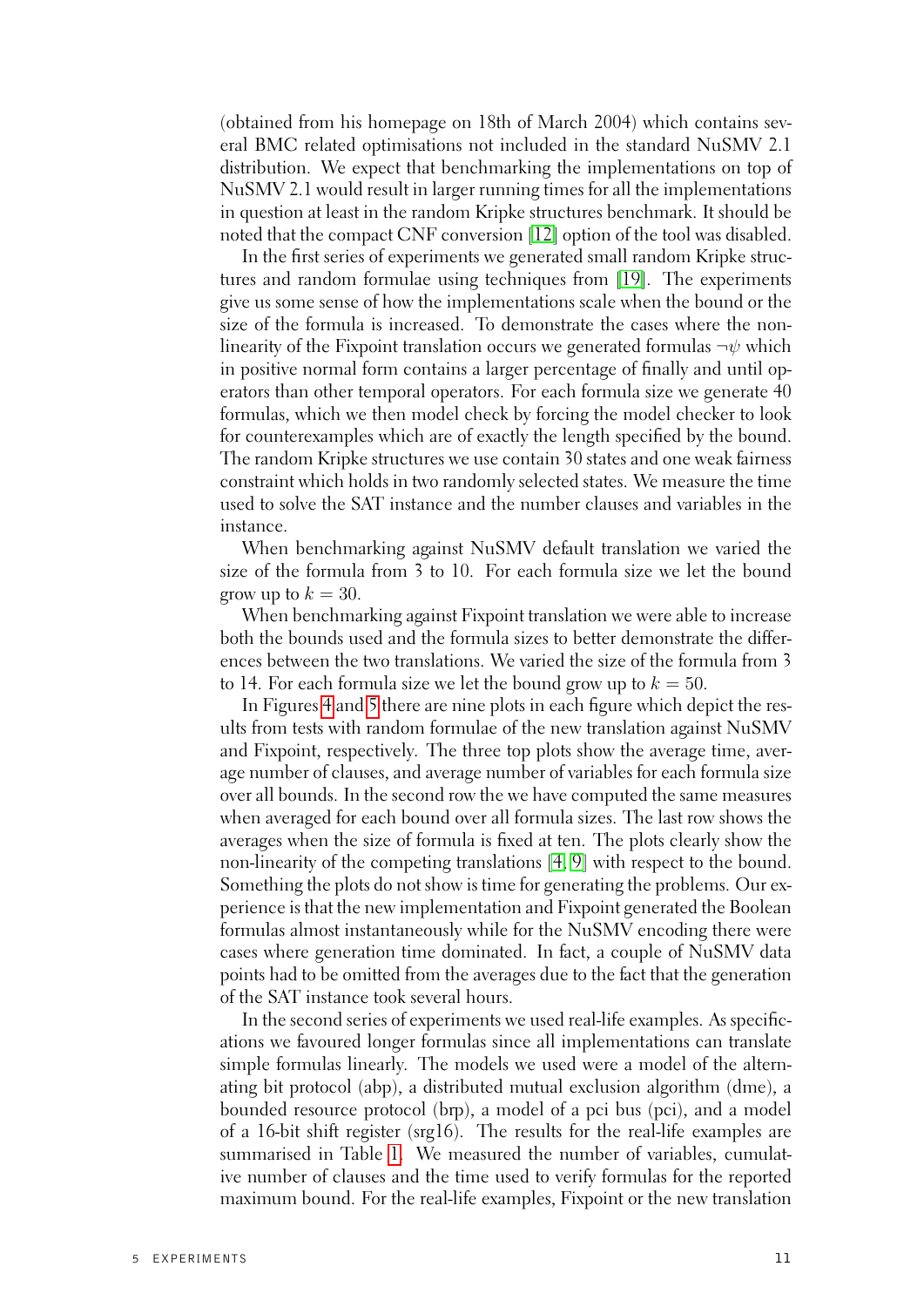(obtained from his homepage on 18th of March 2004) which contains several BMC related optimisations not included in the standard NuSMV 2.1 distribution. We expect that benchmarking the implementations on top of NuSMV 2.1 would result in larger running times for all the implementations in question at least in the random Kripke structures benchmark. It should be noted that the compact CNF conversion [\[12\]](#page-20-11) option of the tool was disabled.

In the first series of experiments we generated small random Kripke structures and random formulae using techniques from [\[19\]](#page-20-4). The experiments give us some sense of how the implementations scale when the bound or the size of the formula is increased. To demonstrate the cases where the nonlinearity of the Fixpoint translation occurs we generated formulas  $\neg \psi$  which in positive normal form contains a larger percentage of finally and until operators than other temporal operators. For each formula size we generate 40 formulas, which we then model check by forcing the model checker to look for counterexamples which are of exactly the length specified by the bound. The random Kripke structures we use contain 30 states and one weak fairness constraint which holds in two randomly selected states. We measure the time used to solve the SAT instance and the number clauses and variables in the instance.

When benchmarking against NuSMV default translation we varied the size of the formula from 3 to 10. For each formula size we let the bound grow up to  $k = 30$ .

When benchmarking against Fixpoint translation we were able to increase both the bounds used and the formula sizes to better demonstrate the differences between the two translations. We varied the size of the formula from 3 to 14. For each formula size we let the bound grow up to  $k = 50$ .

In Figures [4](#page-17-0) and [5](#page-17-1) there are nine plots in each figure which depict the results from tests with random formulae of the new translation against NuSMV and Fixpoint, respectively. The three top plots show the average time, average number of clauses, and average number of variables for each formula size over all bounds. In the second row the we have computed the same measures when averaged for each bound over all formula sizes. The last row shows the averages when the size of formula is fixed at ten. The plots clearly show the non-linearity of the competing translations [\[4,](#page-19-3) [9\]](#page-20-2) with respect to the bound. Something the plots do not show is time for generating the problems. Our experience is that the new implementation and Fixpoint generated the Boolean formulas almost instantaneously while for the NuSMV encoding there were cases where generation time dominated. In fact, a couple of NuSMV data points had to be omitted from the averages due to the fact that the generation of the SAT instance took several hours.

In the second series of experiments we used real-life examples. As specifications we favoured longer formulas since all implementations can translate simple formulas linearly. The models we used were a model of the alternating bit protocol (abp), a distributed mutual exclusion algorithm (dme), a bounded resource protocol (brp), a model of a pci bus (pci), and a model of a 16-bit shift register (srg16). The results for the real-life examples are summarised in Table [1.](#page-18-2) We measured the number of variables, cumulative number of clauses and the time used to verify formulas for the reported maximum bound. For the real-life examples, Fixpoint or the new translation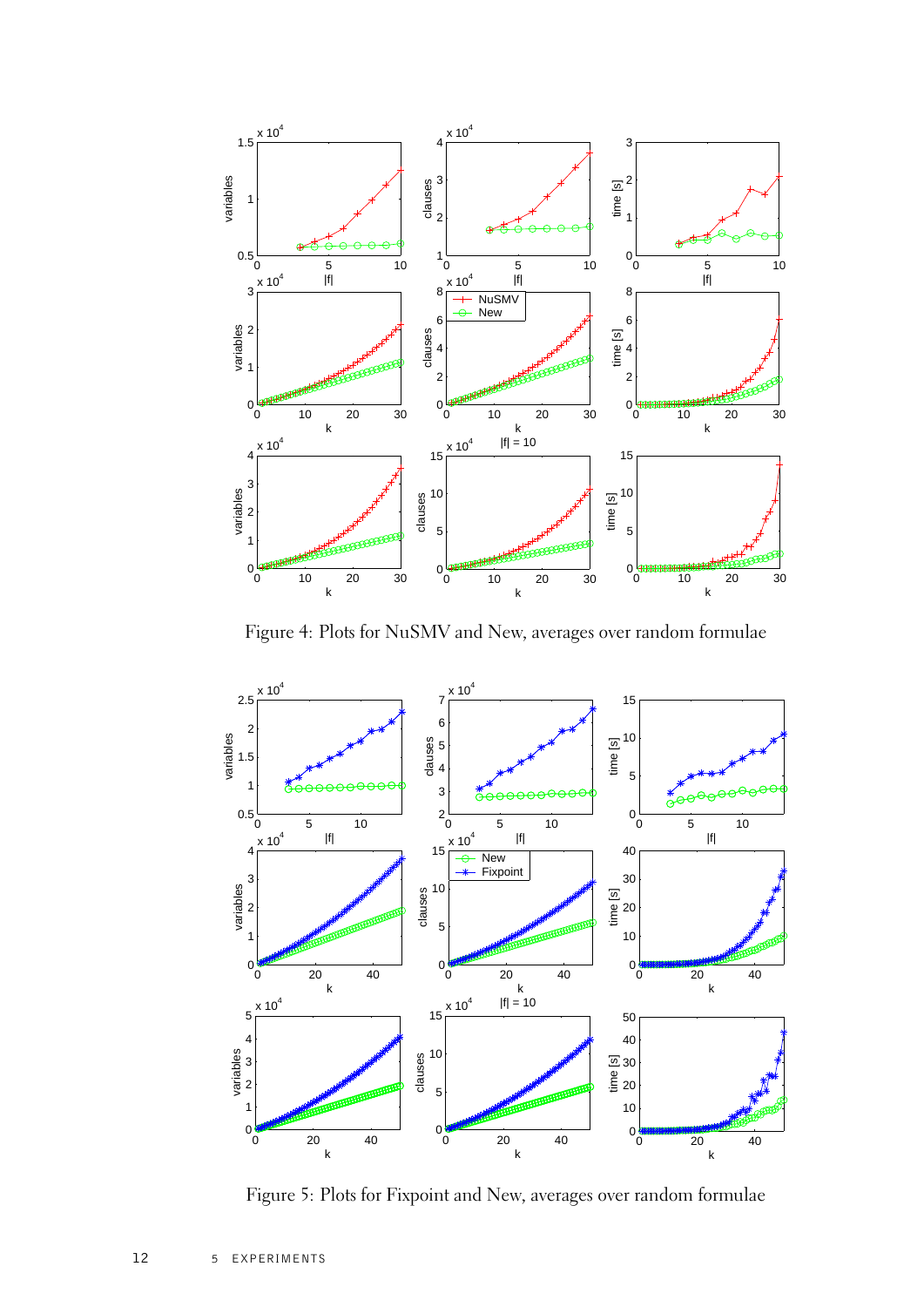

<span id="page-17-0"></span>Figure 4: Plots for NuSMV and New, averages over random formulae



<span id="page-17-1"></span>Figure 5: Plots for Fixpoint and New, averages over random formulae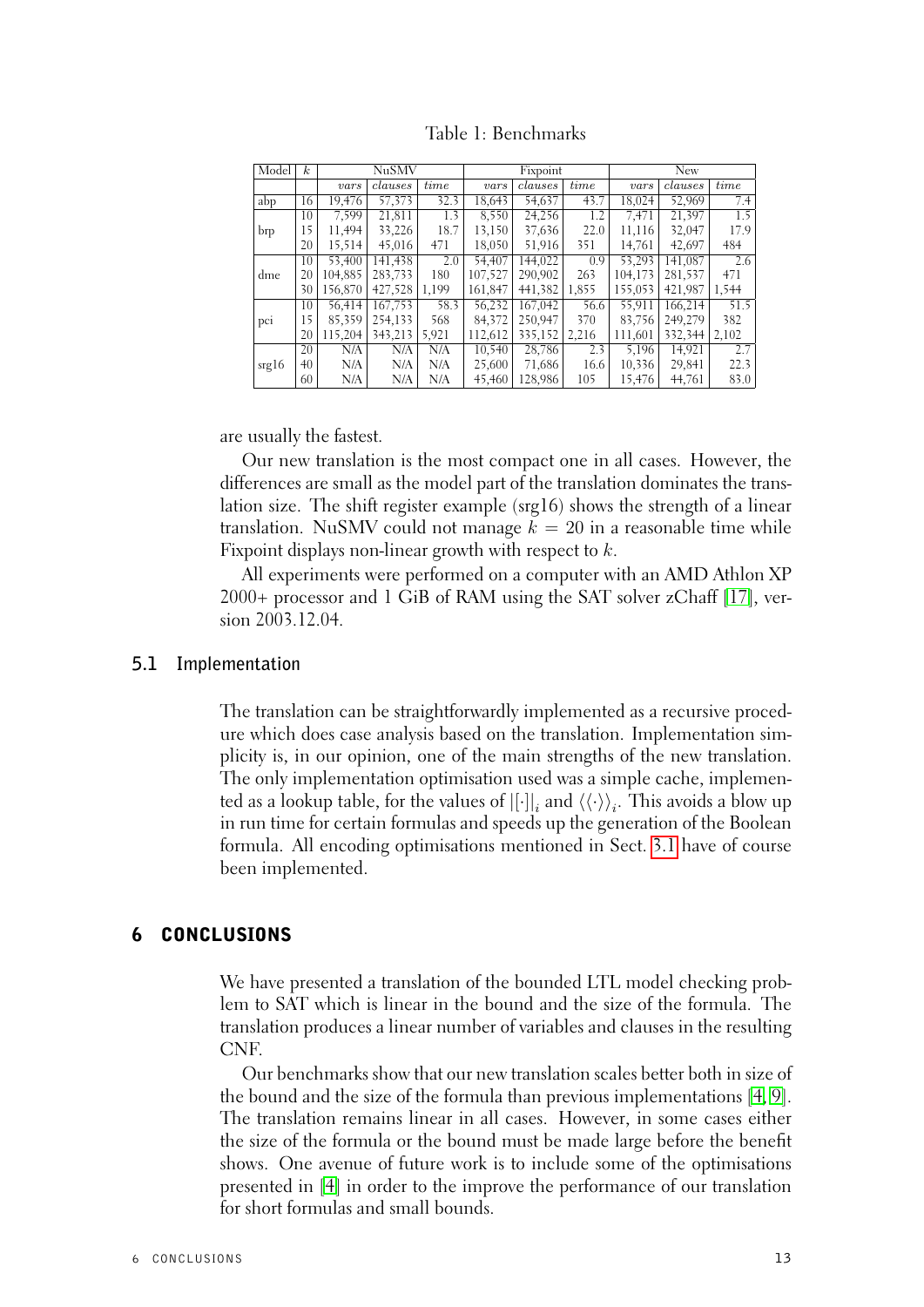| Model | $\mathbf{k}$ |         | <b>NuSMV</b> |       |         | Fixpoint |       | <b>New</b> |         |       |
|-------|--------------|---------|--------------|-------|---------|----------|-------|------------|---------|-------|
|       |              | vars    | clauses      | time  | vars    | clauses  | time  | vars       | clauses | time  |
| abp   | 16           | 19,476  | 57,373       | 32.3  | 18,643  | 54,637   | 43.7  | 18,024     | 52,969  | 7.4   |
|       | 10           | 7.599   | 21,811       | 1.3   | 8.550   | 24.256   | 1.2   | 7.471      | 21.397  | 1.5   |
| brp   | 15           | 11,494  | 33,226       | 18.7  | 13,150  | 37,636   | 22.0  | 11,116     | 32,047  | 17.9  |
|       | 20           | 15,514  | 45,016       | 471   | 18,050  | 51,916   | 351   | 14,761     | 42,697  | 484   |
|       | 10           | 53,400  | 141,438      | 2.0   | 54,407  | 144,022  | 0.9   | 53.293     | 141,087 | 2.6   |
| dme   | 20           | 104.885 | 283,733      | 180   | 107,527 | 290,902  | 263   | 104,173    | 281,537 | 471   |
|       | 30           | 156,870 | 427,528      | 1.199 | 161,847 | 441.382  | 1,855 | 155,053    | 421.987 | 1,544 |
|       | 10           | 56.414  | 167.753      | 58.3  | 56,232  | 167,042  | 56.6  | 55.911     | 166.214 | 51.5  |
| pci   | 15           | 85,359  | 254.133      | 568   | 84,372  | 250,947  | 370   | 83,756     | 249,279 | 382   |
|       | 20           | 115,204 | 343,213      | 5,921 | 112,612 | 335,152  | 2,216 | 111,601    | 332,344 | 2,102 |
|       | 20           | N/A     | N/A          | N/A   | 10.540  | 28,786   | 2.3   | 5.196      | 14.921  | 2.7   |
| srgl6 | 40           | N/A     | N/A          | N/A   | 25,600  | 71,686   | 16.6  | 10,336     | 29.841  | 22.3  |
|       | 60           | N/A     | N/A          | N/A   | 45,460  | 128.986  | 105   | 15,476     | 44.761  | 83.0  |

<span id="page-18-2"></span>Table 1: Benchmarks

are usually the fastest.

Our new translation is the most compact one in all cases. However, the differences are small as the model part of the translation dominates the translation size. The shift register example (srg16) shows the strength of a linear translation. NuSMV could not manage  $k = 20$  in a reasonable time while Fixpoint displays non-linear growth with respect to k.

All experiments were performed on a computer with an AMD Athlon XP 2000+ processor and 1 GiB of RAM using the SAT solver zChaff [\[17\]](#page-20-12), version 2003.12.04.

## **5.1 Implementation**

<span id="page-18-0"></span>The translation can be straightforwardly implemented as a recursive procedure which does case analysis based on the translation. Implementation simplicity is, in our opinion, one of the main strengths of the new translation. The only implementation optimisation used was a simple cache, implemented as a lookup table, for the values of  $[[\cdot]]_i$  and  $\langle\langle\cdot\rangle\rangle_i.$  This avoids a blow up in run time for certain formulas and speeds up the generation of the Boolean formula. All encoding optimisations mentioned in Sect. [3.1](#page-13-0) have of course been implemented.

## 6 CONCLUSIONS

<span id="page-18-1"></span>We have presented a translation of the bounded LTL model checking problem to SAT which is linear in the bound and the size of the formula. The translation produces a linear number of variables and clauses in the resulting CNF.

Our benchmarks show that our new translation scales better both in size of the bound and the size of the formula than previous implementations [\[4,](#page-19-3) [9\]](#page-20-2). The translation remains linear in all cases. However, in some cases either the size of the formula or the bound must be made large before the benefit shows. One avenue of future work is to include some of the optimisations presented in [\[4\]](#page-19-3) in order to the improve the performance of our translation for short formulas and small bounds.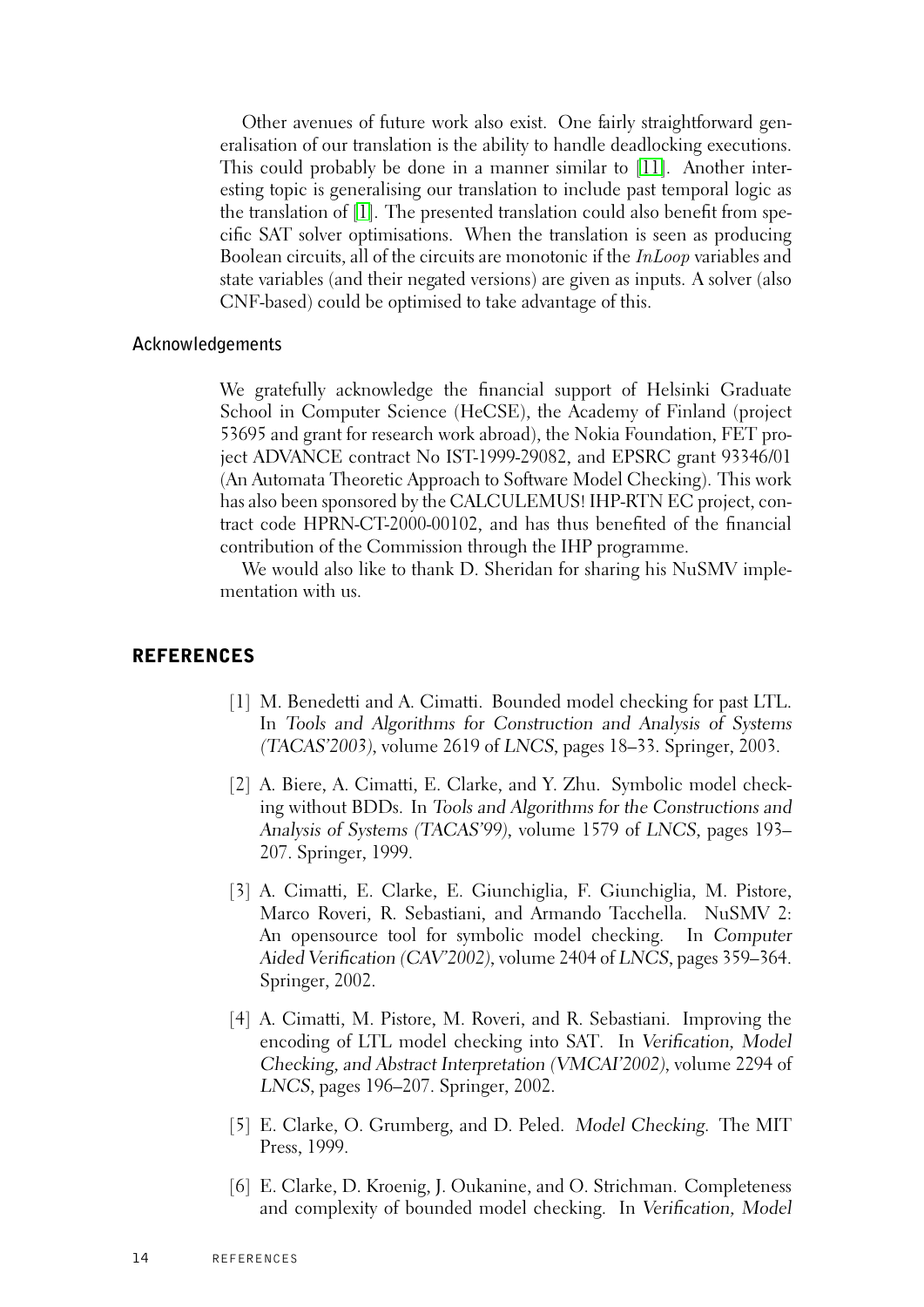Other avenues of future work also exist. One fairly straightforward generalisation of our translation is the ability to handle deadlocking executions. This could probably be done in a manner similar to [\[11\]](#page-20-7). Another interesting topic is generalising our translation to include past temporal logic as the translation of [\[1\]](#page-19-6). The presented translation could also benefit from specific SAT solver optimisations. When the translation is seen as producing Boolean circuits, all of the circuits are monotonic if the InLoop variables and state variables (and their negated versions) are given as inputs. A solver (also CNF-based) could be optimised to take advantage of this.

## **Acknowledgements**

<span id="page-19-0"></span>We gratefully acknowledge the financial support of Helsinki Graduate School in Computer Science (HeCSE), the Academy of Finland (project 53695 and grant for research work abroad), the Nokia Foundation, FET project ADVANCE contract No IST-1999-29082, and EPSRC grant 93346/01 (An Automata Theoretic Approach to Software Model Checking). This work has also been sponsored by the CALCULEMUS! IHP-RTN EC project, contract code HPRN-CT-2000-00102, and has thus benefited of the financial contribution of the Commission through the IHP programme.

We would also like to thank D. Sheridan for sharing his NuSMV implementation with us.

## REFERENCES

- <span id="page-19-6"></span>[1] M. Benedetti and A. Cimatti. Bounded model checking for past LTL. In Tools and Algorithms for Construction and Analysis of Systems (TACAS'2003), volume 2619 of LNCS, pages 18–33. Springer, 2003.
- <span id="page-19-1"></span>[2] A. Biere, A. Cimatti, E. Clarke, and Y. Zhu. Symbolic model checking without BDDs. In Tools and Algorithms for the Constructions and Analysis of Systems (TACAS'99), volume 1579 of LNCS, pages 193– 207. Springer, 1999.
- <span id="page-19-5"></span>[3] A. Cimatti, E. Clarke, E. Giunchiglia, F. Giunchiglia, M. Pistore, Marco Roveri, R. Sebastiani, and Armando Tacchella. NuSMV 2: An opensource tool for symbolic model checking. In Computer Aided Verification (CAV'2002), volume 2404 of LNCS, pages 359–364. Springer, 2002.
- <span id="page-19-3"></span>[4] A. Cimatti, M. Pistore, M. Roveri, and R. Sebastiani. Improving the encoding of LTL model checking into SAT. In Verification, Model Checking, and Abstract Interpretation (VMCAI'2002), volume 2294 of LNCS, pages 196–207. Springer, 2002.
- <span id="page-19-4"></span>[5] E. Clarke, O. Grumberg, and D. Peled. Model Checking. The MIT Press, 1999.
- <span id="page-19-2"></span>[6] E. Clarke, D. Kroenig, J. Oukanine, and O. Strichman. Completeness and complexity of bounded model checking. In Verification, Model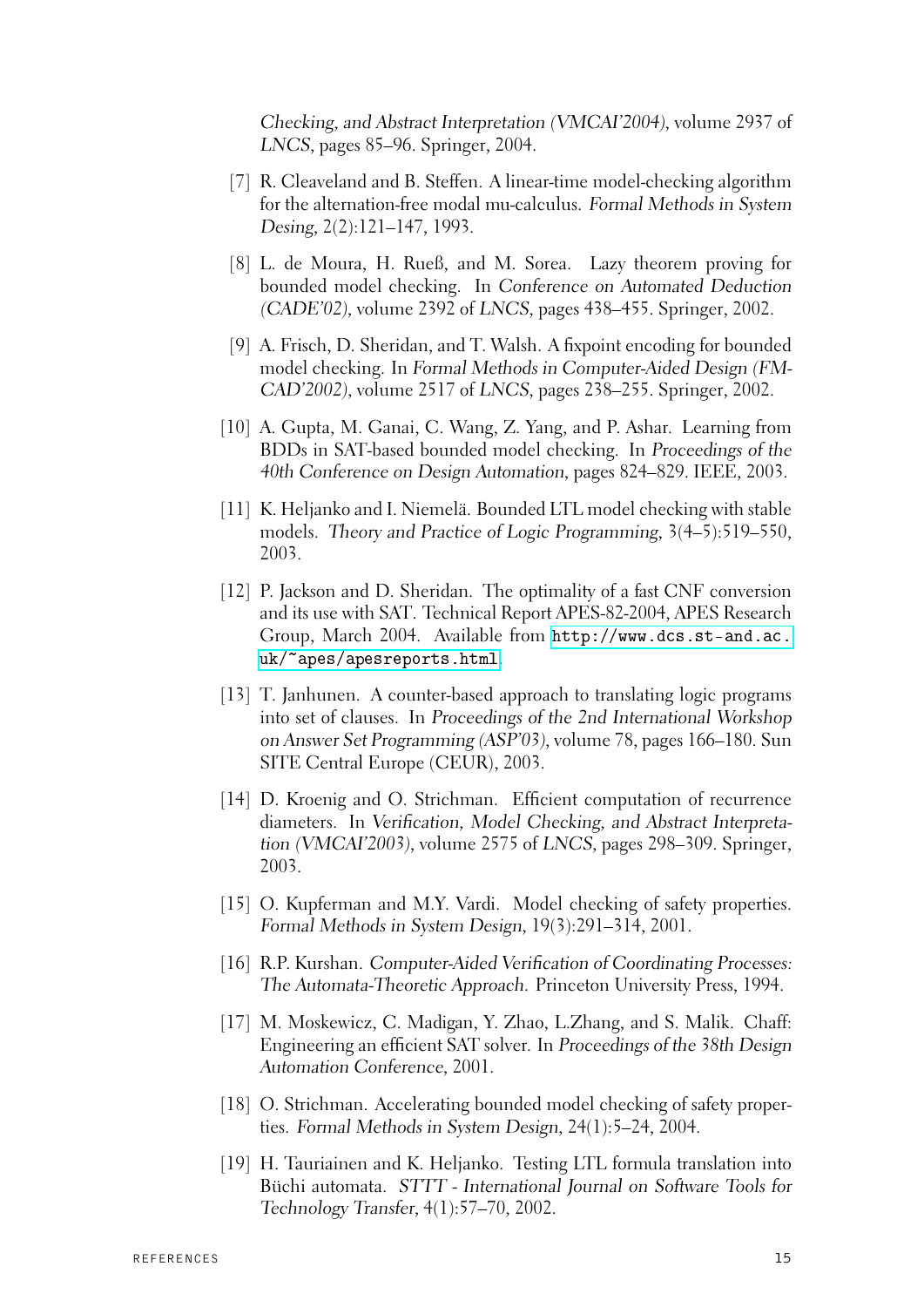Checking, and Abstract Interpretation (VMCAI'2004), volume 2937 of LNCS, pages 85–96. Springer, 2004.

- <span id="page-20-5"></span>[7] R. Cleaveland and B. Steffen. A linear-time model-checking algorithm for the alternation-free modal mu-calculus. Formal Methods in System Desing, 2(2):121–147, 1993.
- <span id="page-20-9"></span>[8] L. de Moura, H. Rueß, and M. Sorea. Lazy theorem proving for bounded model checking. In Conference on Automated Deduction (CADE'02), volume 2392 of LNCS, pages 438–455. Springer, 2002.
- <span id="page-20-2"></span>[9] A. Frisch, D. Sheridan, and T. Walsh. A fixpoint encoding for bounded model checking. In Formal Methods in Computer-Aided Design (FM-CAD'2002), volume 2517 of LNCS, pages 238–255. Springer, 2002.
- <span id="page-20-10"></span>[10] A. Gupta, M. Ganai, C. Wang, Z. Yang, and P. Ashar. Learning from BDDs in SAT-based bounded model checking. In Proceedings of the 40th Conference on Design Automation, pages 824–829. IEEE, 2003.
- <span id="page-20-7"></span>[11] K. Heljanko and I. Niemelä. Bounded LTL model checking with stable models. Theory and Practice of Logic Programming, 3(4–5):519–550, 2003.
- <span id="page-20-11"></span>[12] P. Jackson and D. Sheridan. The optimality of a fast CNF conversion and its use with SAT. Technical Report APES-82-2004, APES Research Group, March 2004. Available from [http://www.dcs.st-and.ac.](http://www.dcs.st-and.ac.uk/~apes/apesreports.html) [uk/~apes/apesreports.html](http://www.dcs.st-and.ac.uk/~apes/apesreports.html).
- <span id="page-20-8"></span>[13] T. Janhunen. A counter-based approach to translating logic programs into set of clauses. In Proceedings of the 2nd International Workshop on Answer Set Programming (ASP'03), volume 78, pages 166–180. Sun SITE Central Europe (CEUR), 2003.
- <span id="page-20-1"></span>[14] D. Kroenig and O. Strichman. Efficient computation of recurrence diameters. In Verification, Model Checking, and Abstract Interpretation (VMCAI'2003), volume 2575 of LNCS, pages 298–309. Springer, 2003.
- <span id="page-20-3"></span>[15] O. Kupferman and M.Y. Vardi. Model checking of safety properties. Formal Methods in System Design, 19(3):291–314, 2001.
- <span id="page-20-6"></span>[16] R.P. Kurshan. Computer-Aided Verification of Coordinating Processes: The Automata-Theoretic Approach. Princeton University Press, 1994.
- <span id="page-20-12"></span>[17] M. Moskewicz, C. Madigan, Y. Zhao, L.Zhang, and S. Malik. Chaff: Engineering an efficient SAT solver. In Proceedings of the 38th Design Automation Conference, 2001.
- <span id="page-20-0"></span>[18] O. Strichman. Accelerating bounded model checking of safety properties. Formal Methods in System Design, 24(1):5–24, 2004.
- <span id="page-20-4"></span>[19] H. Tauriainen and K. Heljanko. Testing LTL formula translation into Büchi automata. STTT - International Journal on Software Tools for Technology Transfer, 4(1):57–70, 2002.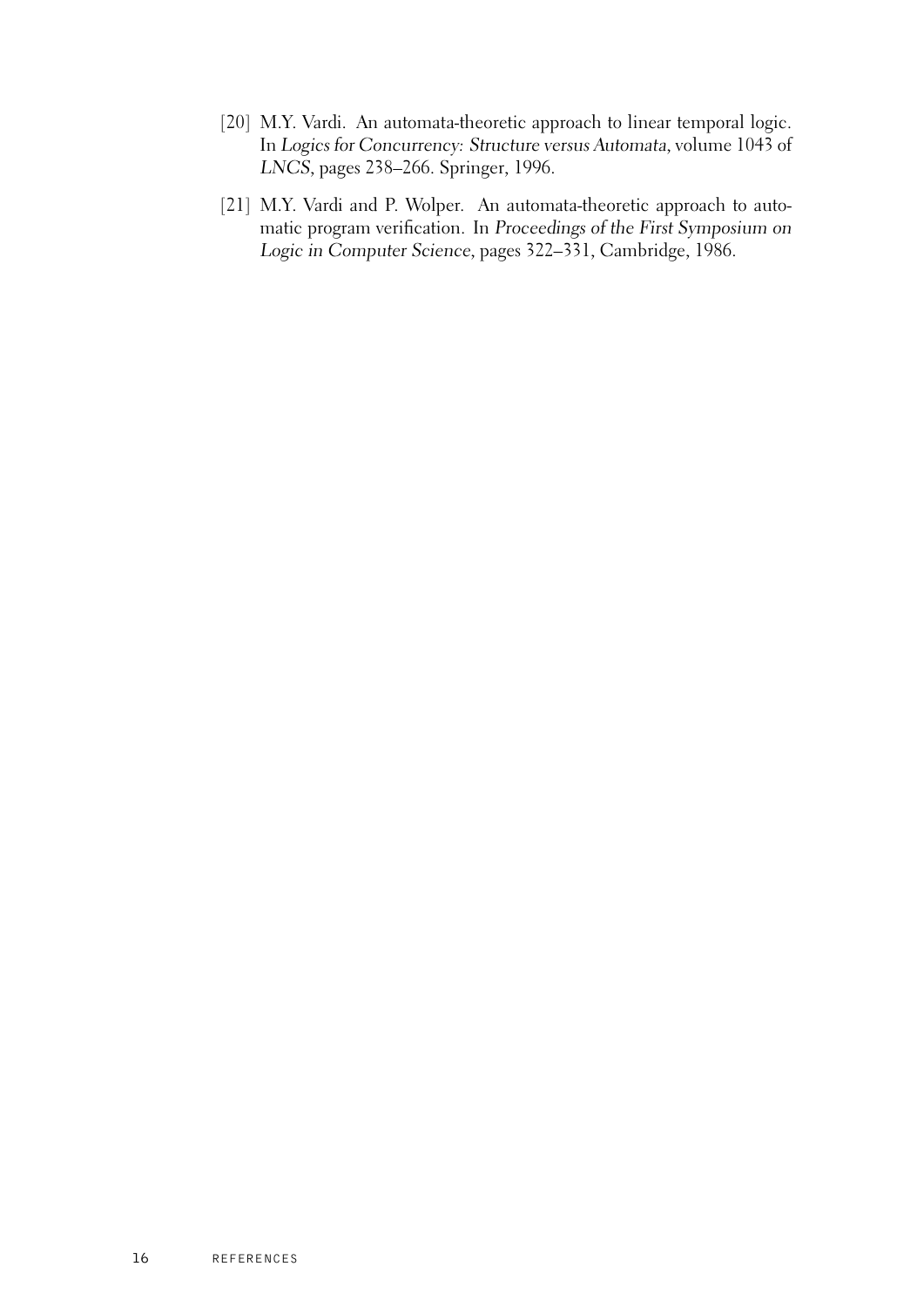- <span id="page-21-1"></span>[20] M.Y. Vardi. An automata-theoretic approach to linear temporal logic. In Logics for Concurrency: Structure versus Automata, volume 1043 of LNCS, pages 238–266. Springer, 1996.
- <span id="page-21-0"></span>[21] M.Y. Vardi and P. Wolper. An automata-theoretic approach to automatic program verification. In Proceedings of the First Symposium on Logic in Computer Science, pages 322–331, Cambridge, 1986.